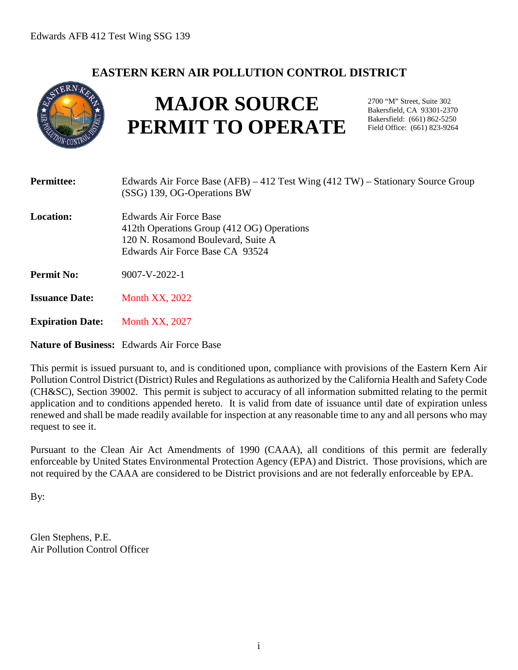# **EASTERN KERN AIR POLLUTION CONTROL DISTRICT**



# **MAJOR SOURCE PERMIT TO OPERATE**

2700 "M" Street, Suite 302 Bakersfield, CA 93301-2370 Bakersfield: (661) 862-5250 Field Office: (661) 823-9264

| <b>Permittee:</b>       | Edwards Air Force Base $(AFB) - 412$ Test Wing $(412 TW)$ – Stationary Source Group<br>(SSG) 139, OG-Operations BW                            |
|-------------------------|-----------------------------------------------------------------------------------------------------------------------------------------------|
| <b>Location:</b>        | Edwards Air Force Base<br>412th Operations Group (412 OG) Operations<br>120 N. Rosamond Boulevard, Suite A<br>Edwards Air Force Base CA 93524 |
| <b>Permit No:</b>       | $9007 - V - 2022 - 1$                                                                                                                         |
| <b>Issuance Date:</b>   | <b>Month XX, 2022</b>                                                                                                                         |
| <b>Expiration Date:</b> | <b>Month XX, 2027</b>                                                                                                                         |

**Nature of Business:** Edwards Air Force Base

This permit is issued pursuant to, and is conditioned upon, compliance with provisions of the Eastern Kern Air Pollution Control District (District) Rules and Regulations as authorized by the California Health and Safety Code (CH&SC), Section 39002. This permit is subject to accuracy of all information submitted relating to the permit application and to conditions appended hereto. It is valid from date of issuance until date of expiration unless renewed and shall be made readily available for inspection at any reasonable time to any and all persons who may request to see it.

Pursuant to the Clean Air Act Amendments of 1990 (CAAA), all conditions of this permit are federally enforceable by United States Environmental Protection Agency (EPA) and District. Those provisions, which are not required by the CAAA are considered to be District provisions and are not federally enforceable by EPA.

By:

Glen Stephens, P.E. Air Pollution Control Officer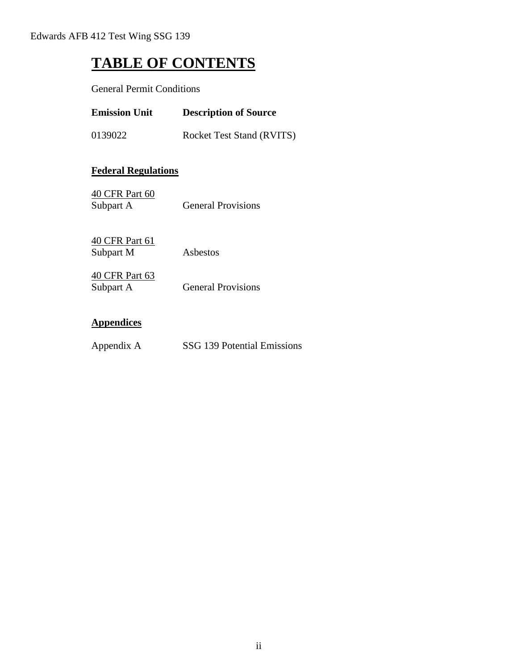# **TABLE OF CONTENTS**

General Permit Conditions

| <b>Emission Unit</b> | <b>Description of Source</b>     |
|----------------------|----------------------------------|
| 0139022              | <b>Rocket Test Stand (RVITS)</b> |

### **Federal Regulations**

| 40 CFR Part 60 |                           |
|----------------|---------------------------|
| Subpart A      | <b>General Provisions</b> |

40 CFR Part 61 Subpart M Asbestos

| 40 CFR Part 63 |                           |
|----------------|---------------------------|
| Subpart A      | <b>General Provisions</b> |

#### **Appendices**

Appendix A SSG 139 Potential Emissions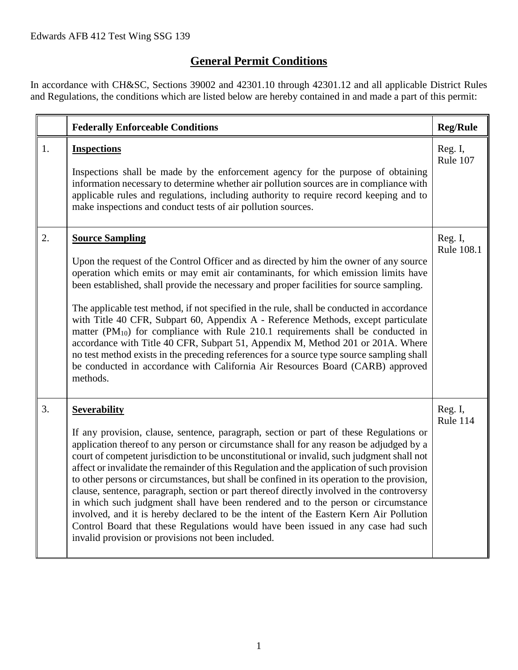# **General Permit Conditions**

In accordance with CH&SC, Sections 39002 and 42301.10 through 42301.12 and all applicable District Rules and Regulations, the conditions which are listed below are hereby contained in and made a part of this permit:

|    | <b>Federally Enforceable Conditions</b>                                                                                                                                                                                                                                                                                                                                                                                                                                                                                                                                                                                                                                                                                                                                                                                                                                                                                    | <b>Reg/Rule</b>       |
|----|----------------------------------------------------------------------------------------------------------------------------------------------------------------------------------------------------------------------------------------------------------------------------------------------------------------------------------------------------------------------------------------------------------------------------------------------------------------------------------------------------------------------------------------------------------------------------------------------------------------------------------------------------------------------------------------------------------------------------------------------------------------------------------------------------------------------------------------------------------------------------------------------------------------------------|-----------------------|
| 1. | <b>Inspections</b><br>Inspections shall be made by the enforcement agency for the purpose of obtaining<br>information necessary to determine whether air pollution sources are in compliance with<br>applicable rules and regulations, including authority to require record keeping and to<br>make inspections and conduct tests of air pollution sources.                                                                                                                                                                                                                                                                                                                                                                                                                                                                                                                                                                | Reg. I,<br>Rule 107   |
| 2. | <b>Source Sampling</b><br>Upon the request of the Control Officer and as directed by him the owner of any source<br>operation which emits or may emit air contaminants, for which emission limits have<br>been established, shall provide the necessary and proper facilities for source sampling.<br>The applicable test method, if not specified in the rule, shall be conducted in accordance<br>with Title 40 CFR, Subpart 60, Appendix A - Reference Methods, except particulate<br>matter $(PM_{10})$ for compliance with Rule 210.1 requirements shall be conducted in<br>accordance with Title 40 CFR, Subpart 51, Appendix M, Method 201 or 201A. Where<br>no test method exists in the preceding references for a source type source sampling shall<br>be conducted in accordance with California Air Resources Board (CARB) approved<br>methods.                                                                | Reg. I,<br>Rule 108.1 |
| 3. | <b>Severability</b><br>If any provision, clause, sentence, paragraph, section or part of these Regulations or<br>application thereof to any person or circumstance shall for any reason be adjudged by a<br>court of competent jurisdiction to be unconstitutional or invalid, such judgment shall not<br>affect or invalidate the remainder of this Regulation and the application of such provision<br>to other persons or circumstances, but shall be confined in its operation to the provision,<br>clause, sentence, paragraph, section or part thereof directly involved in the controversy<br>in which such judgment shall have been rendered and to the person or circumstance<br>involved, and it is hereby declared to be the intent of the Eastern Kern Air Pollution<br>Control Board that these Regulations would have been issued in any case had such<br>invalid provision or provisions not been included. | Reg. I,<br>Rule 114   |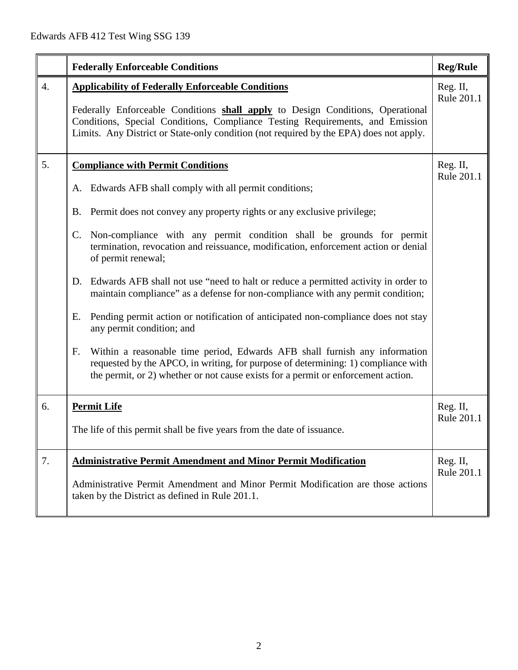|    | <b>Federally Enforceable Conditions</b>                                                                                                                                                                                                                                                                                                                                                                                                                                                                                                                                                                                                                                                                                                                                                                                                                                                                                                               | <b>Reg/Rule</b>        |
|----|-------------------------------------------------------------------------------------------------------------------------------------------------------------------------------------------------------------------------------------------------------------------------------------------------------------------------------------------------------------------------------------------------------------------------------------------------------------------------------------------------------------------------------------------------------------------------------------------------------------------------------------------------------------------------------------------------------------------------------------------------------------------------------------------------------------------------------------------------------------------------------------------------------------------------------------------------------|------------------------|
| 4. | <b>Applicability of Federally Enforceable Conditions</b><br>Reg. II,<br>Rule 201.1<br>Federally Enforceable Conditions shall apply to Design Conditions, Operational<br>Conditions, Special Conditions, Compliance Testing Requirements, and Emission<br>Limits. Any District or State-only condition (not required by the EPA) does not apply.                                                                                                                                                                                                                                                                                                                                                                                                                                                                                                                                                                                                       |                        |
| 5. | <b>Compliance with Permit Conditions</b><br>Edwards AFB shall comply with all permit conditions;<br>A.<br>Permit does not convey any property rights or any exclusive privilege;<br>Β.<br>Non-compliance with any permit condition shall be grounds for permit<br>C.<br>termination, revocation and reissuance, modification, enforcement action or denial<br>of permit renewal;<br>Edwards AFB shall not use "need to halt or reduce a permitted activity in order to<br>D.<br>maintain compliance" as a defense for non-compliance with any permit condition;<br>Pending permit action or notification of anticipated non-compliance does not stay<br>Е.<br>any permit condition; and<br>Within a reasonable time period, Edwards AFB shall furnish any information<br>F.<br>requested by the APCO, in writing, for purpose of determining: 1) compliance with<br>the permit, or 2) whether or not cause exists for a permit or enforcement action. | Reg. II,<br>Rule 201.1 |
| 6. | <b>Permit Life</b><br>The life of this permit shall be five years from the date of issuance.                                                                                                                                                                                                                                                                                                                                                                                                                                                                                                                                                                                                                                                                                                                                                                                                                                                          | Reg. II,<br>Rule 201.1 |
| 7. | <b>Administrative Permit Amendment and Minor Permit Modification</b><br>Administrative Permit Amendment and Minor Permit Modification are those actions<br>taken by the District as defined in Rule 201.1.                                                                                                                                                                                                                                                                                                                                                                                                                                                                                                                                                                                                                                                                                                                                            | Reg. II,<br>Rule 201.1 |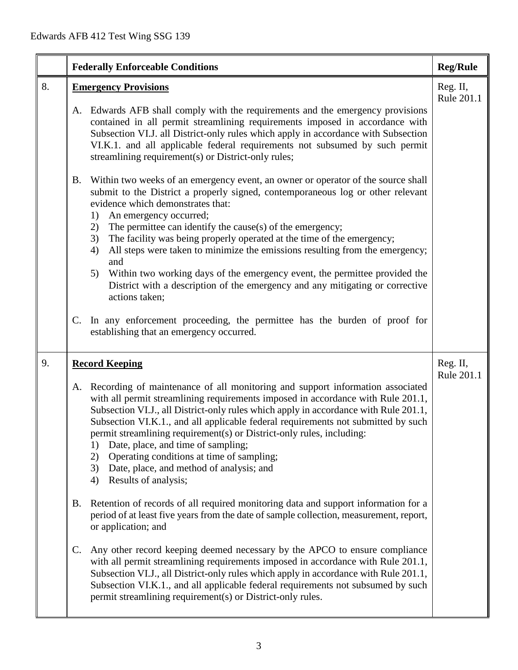|    | <b>Federally Enforceable Conditions</b>                                                                                                                                                                                                                                                                                                                                                                                                                                                                                                                                                                      | <b>Reg/Rule</b>        |
|----|--------------------------------------------------------------------------------------------------------------------------------------------------------------------------------------------------------------------------------------------------------------------------------------------------------------------------------------------------------------------------------------------------------------------------------------------------------------------------------------------------------------------------------------------------------------------------------------------------------------|------------------------|
| 8. | <b>Emergency Provisions</b>                                                                                                                                                                                                                                                                                                                                                                                                                                                                                                                                                                                  | Reg. II,<br>Rule 201.1 |
|    | Edwards AFB shall comply with the requirements and the emergency provisions<br>A.<br>contained in all permit streamlining requirements imposed in accordance with<br>Subsection VI.J. all District-only rules which apply in accordance with Subsection<br>VI.K.1. and all applicable federal requirements not subsumed by such permit<br>streamlining requirement(s) or District-only rules;                                                                                                                                                                                                                |                        |
|    | Within two weeks of an emergency event, an owner or operator of the source shall<br><b>B.</b><br>submit to the District a properly signed, contemporaneous log or other relevant<br>evidence which demonstrates that:<br>An emergency occurred;<br>1)                                                                                                                                                                                                                                                                                                                                                        |                        |
|    | The permittee can identify the cause(s) of the emergency;<br>2)<br>The facility was being properly operated at the time of the emergency;<br>3)<br>All steps were taken to minimize the emissions resulting from the emergency;<br>4)<br>and                                                                                                                                                                                                                                                                                                                                                                 |                        |
|    | Within two working days of the emergency event, the permittee provided the<br>5)<br>District with a description of the emergency and any mitigating or corrective<br>actions taken;                                                                                                                                                                                                                                                                                                                                                                                                                          |                        |
|    | In any enforcement proceeding, the permittee has the burden of proof for<br>C.<br>establishing that an emergency occurred.                                                                                                                                                                                                                                                                                                                                                                                                                                                                                   |                        |
| 9. | <b>Record Keeping</b>                                                                                                                                                                                                                                                                                                                                                                                                                                                                                                                                                                                        | Reg. II,<br>Rule 201.1 |
|    | Recording of maintenance of all monitoring and support information associated<br>A.<br>with all permit streamlining requirements imposed in accordance with Rule 201.1,<br>Subsection VI.J., all District-only rules which apply in accordance with Rule 201.1,<br>Subsection VI.K.1., and all applicable federal requirements not submitted by such<br>permit streamlining requirement(s) or District-only rules, including:<br>Date, place, and time of sampling;<br>1)<br>Operating conditions at time of sampling;<br>2)<br>Date, place, and method of analysis; and<br>3)<br>Results of analysis;<br>4) |                        |
|    | Retention of records of all required monitoring data and support information for a<br><b>B.</b><br>period of at least five years from the date of sample collection, measurement, report,<br>or application; and                                                                                                                                                                                                                                                                                                                                                                                             |                        |
|    | Any other record keeping deemed necessary by the APCO to ensure compliance<br>C.<br>with all permit streamlining requirements imposed in accordance with Rule 201.1,<br>Subsection VI.J., all District-only rules which apply in accordance with Rule 201.1,<br>Subsection VI.K.1., and all applicable federal requirements not subsumed by such<br>permit streamlining requirement(s) or District-only rules.                                                                                                                                                                                               |                        |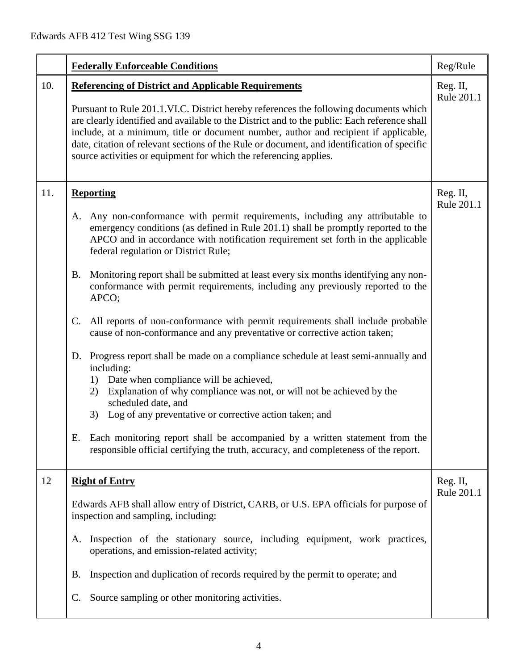|     | <b>Federally Enforceable Conditions</b>                                                                                                                                                                                                                                                                                                                                                                                                                                                                                                                                                                                                                                                                                                                                                                                                                                                                                                                                                                                                                                                                                                                                                                          | Reg/Rule               |
|-----|------------------------------------------------------------------------------------------------------------------------------------------------------------------------------------------------------------------------------------------------------------------------------------------------------------------------------------------------------------------------------------------------------------------------------------------------------------------------------------------------------------------------------------------------------------------------------------------------------------------------------------------------------------------------------------------------------------------------------------------------------------------------------------------------------------------------------------------------------------------------------------------------------------------------------------------------------------------------------------------------------------------------------------------------------------------------------------------------------------------------------------------------------------------------------------------------------------------|------------------------|
| 10. | <b>Referencing of District and Applicable Requirements</b><br>Pursuant to Rule 201.1.VI.C. District hereby references the following documents which<br>are clearly identified and available to the District and to the public: Each reference shall<br>include, at a minimum, title or document number, author and recipient if applicable,<br>date, citation of relevant sections of the Rule or document, and identification of specific<br>source activities or equipment for which the referencing applies.                                                                                                                                                                                                                                                                                                                                                                                                                                                                                                                                                                                                                                                                                                  | Reg. II,<br>Rule 201.1 |
| 11. | <b>Reporting</b><br>Any non-conformance with permit requirements, including any attributable to<br>A.<br>emergency conditions (as defined in Rule 201.1) shall be promptly reported to the<br>APCO and in accordance with notification requirement set forth in the applicable<br>federal regulation or District Rule;<br>Monitoring report shall be submitted at least every six months identifying any non-<br><b>B.</b><br>conformance with permit requirements, including any previously reported to the<br>APCO;<br>All reports of non-conformance with permit requirements shall include probable<br>$\mathsf{C}$ .<br>cause of non-conformance and any preventative or corrective action taken;<br>D. Progress report shall be made on a compliance schedule at least semi-annually and<br>including:<br>Date when compliance will be achieved,<br>1)<br>Explanation of why compliance was not, or will not be achieved by the<br>2)<br>scheduled date, and<br>Log of any preventative or corrective action taken; and<br>3)<br>Each monitoring report shall be accompanied by a written statement from the<br>Е.<br>responsible official certifying the truth, accuracy, and completeness of the report. | Reg. II,<br>Rule 201.1 |
| 12  | <b>Right of Entry</b><br>Edwards AFB shall allow entry of District, CARB, or U.S. EPA officials for purpose of<br>inspection and sampling, including:<br>Inspection of the stationary source, including equipment, work practices,<br>A.<br>operations, and emission-related activity;<br>Inspection and duplication of records required by the permit to operate; and<br>В.<br>Source sampling or other monitoring activities.<br>$\mathbf{C}$ .                                                                                                                                                                                                                                                                                                                                                                                                                                                                                                                                                                                                                                                                                                                                                                | Reg. II,<br>Rule 201.1 |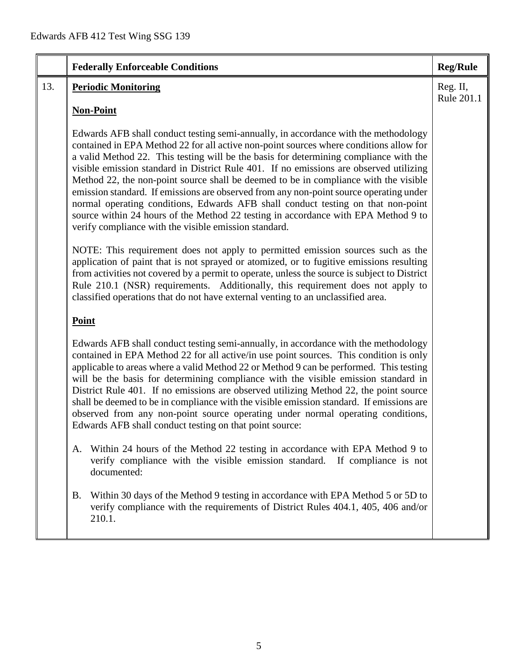|     | <b>Federally Enforceable Conditions</b>                                                                                                                                                                                                                                                                                                                                                                                                                                                                                                                                                                                                                                                                                                                                               | <b>Reg/Rule</b>        |
|-----|---------------------------------------------------------------------------------------------------------------------------------------------------------------------------------------------------------------------------------------------------------------------------------------------------------------------------------------------------------------------------------------------------------------------------------------------------------------------------------------------------------------------------------------------------------------------------------------------------------------------------------------------------------------------------------------------------------------------------------------------------------------------------------------|------------------------|
| 13. | <b>Periodic Monitoring</b>                                                                                                                                                                                                                                                                                                                                                                                                                                                                                                                                                                                                                                                                                                                                                            | Reg. II,<br>Rule 201.1 |
|     | <b>Non-Point</b>                                                                                                                                                                                                                                                                                                                                                                                                                                                                                                                                                                                                                                                                                                                                                                      |                        |
|     | Edwards AFB shall conduct testing semi-annually, in accordance with the methodology<br>contained in EPA Method 22 for all active non-point sources where conditions allow for<br>a valid Method 22. This testing will be the basis for determining compliance with the<br>visible emission standard in District Rule 401. If no emissions are observed utilizing<br>Method 22, the non-point source shall be deemed to be in compliance with the visible<br>emission standard. If emissions are observed from any non-point source operating under<br>normal operating conditions, Edwards AFB shall conduct testing on that non-point<br>source within 24 hours of the Method 22 testing in accordance with EPA Method 9 to<br>verify compliance with the visible emission standard. |                        |
|     | NOTE: This requirement does not apply to permitted emission sources such as the<br>application of paint that is not sprayed or atomized, or to fugitive emissions resulting<br>from activities not covered by a permit to operate, unless the source is subject to District<br>Rule 210.1 (NSR) requirements. Additionally, this requirement does not apply to<br>classified operations that do not have external venting to an unclassified area.                                                                                                                                                                                                                                                                                                                                    |                        |
|     | Point                                                                                                                                                                                                                                                                                                                                                                                                                                                                                                                                                                                                                                                                                                                                                                                 |                        |
|     | Edwards AFB shall conduct testing semi-annually, in accordance with the methodology<br>contained in EPA Method 22 for all active/in use point sources. This condition is only<br>applicable to areas where a valid Method 22 or Method 9 can be performed. This testing<br>will be the basis for determining compliance with the visible emission standard in<br>District Rule 401. If no emissions are observed utilizing Method 22, the point source<br>shall be deemed to be in compliance with the visible emission standard. If emissions are<br>observed from any non-point source operating under normal operating conditions,<br>Edwards AFB shall conduct testing on that point source:                                                                                      |                        |
|     | A. Within 24 hours of the Method 22 testing in accordance with EPA Method 9 to<br>verify compliance with the visible emission standard.<br>If compliance is not<br>documented:                                                                                                                                                                                                                                                                                                                                                                                                                                                                                                                                                                                                        |                        |
|     | Within 30 days of the Method 9 testing in accordance with EPA Method 5 or 5D to<br>Β.<br>verify compliance with the requirements of District Rules 404.1, 405, 406 and/or<br>210.1.                                                                                                                                                                                                                                                                                                                                                                                                                                                                                                                                                                                                   |                        |
|     |                                                                                                                                                                                                                                                                                                                                                                                                                                                                                                                                                                                                                                                                                                                                                                                       |                        |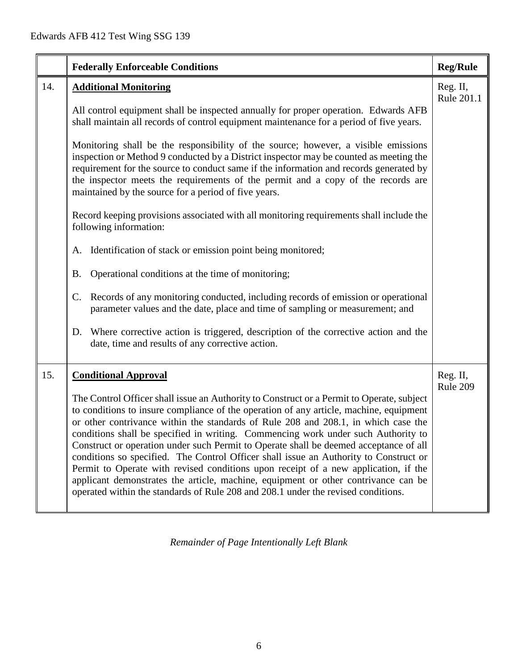|     | <b>Federally Enforceable Conditions</b>                                                                                                                                                                                                                                                                                                                                                                                                                                                                                                                                                                                                                                                                                                                                                                            | <b>Reg/Rule</b>        |
|-----|--------------------------------------------------------------------------------------------------------------------------------------------------------------------------------------------------------------------------------------------------------------------------------------------------------------------------------------------------------------------------------------------------------------------------------------------------------------------------------------------------------------------------------------------------------------------------------------------------------------------------------------------------------------------------------------------------------------------------------------------------------------------------------------------------------------------|------------------------|
| 14. | <b>Additional Monitoring</b>                                                                                                                                                                                                                                                                                                                                                                                                                                                                                                                                                                                                                                                                                                                                                                                       | Reg. II,<br>Rule 201.1 |
|     | All control equipment shall be inspected annually for proper operation. Edwards AFB<br>shall maintain all records of control equipment maintenance for a period of five years.                                                                                                                                                                                                                                                                                                                                                                                                                                                                                                                                                                                                                                     |                        |
|     | Monitoring shall be the responsibility of the source; however, a visible emissions<br>inspection or Method 9 conducted by a District inspector may be counted as meeting the<br>requirement for the source to conduct same if the information and records generated by<br>the inspector meets the requirements of the permit and a copy of the records are<br>maintained by the source for a period of five years.                                                                                                                                                                                                                                                                                                                                                                                                 |                        |
|     | Record keeping provisions associated with all monitoring requirements shall include the<br>following information:                                                                                                                                                                                                                                                                                                                                                                                                                                                                                                                                                                                                                                                                                                  |                        |
|     | Identification of stack or emission point being monitored;<br>A.                                                                                                                                                                                                                                                                                                                                                                                                                                                                                                                                                                                                                                                                                                                                                   |                        |
|     | Operational conditions at the time of monitoring;<br><b>B.</b>                                                                                                                                                                                                                                                                                                                                                                                                                                                                                                                                                                                                                                                                                                                                                     |                        |
|     | Records of any monitoring conducted, including records of emission or operational<br>C.<br>parameter values and the date, place and time of sampling or measurement; and                                                                                                                                                                                                                                                                                                                                                                                                                                                                                                                                                                                                                                           |                        |
|     | Where corrective action is triggered, description of the corrective action and the<br>D.<br>date, time and results of any corrective action.                                                                                                                                                                                                                                                                                                                                                                                                                                                                                                                                                                                                                                                                       |                        |
| 15. | <b>Conditional Approval</b>                                                                                                                                                                                                                                                                                                                                                                                                                                                                                                                                                                                                                                                                                                                                                                                        | Reg. II,<br>Rule 209   |
|     | The Control Officer shall issue an Authority to Construct or a Permit to Operate, subject<br>to conditions to insure compliance of the operation of any article, machine, equipment<br>or other contrivance within the standards of Rule 208 and 208.1, in which case the<br>conditions shall be specified in writing. Commencing work under such Authority to<br>Construct or operation under such Permit to Operate shall be deemed acceptance of all<br>conditions so specified. The Control Officer shall issue an Authority to Construct or<br>Permit to Operate with revised conditions upon receipt of a new application, if the<br>applicant demonstrates the article, machine, equipment or other contrivance can be<br>operated within the standards of Rule 208 and 208.1 under the revised conditions. |                        |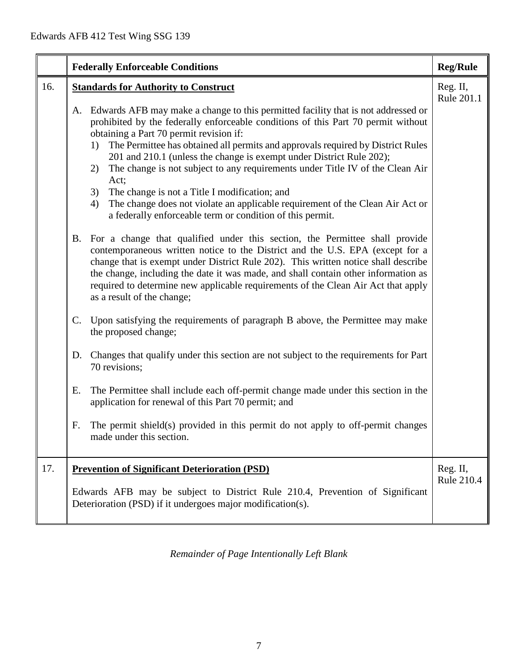|     |    | <b>Federally Enforceable Conditions</b>                                                                                                                                                                                                                                                                                                                                                                                                                                                                                                                                                                                                                                                                                                        | <b>Reg/Rule</b>        |
|-----|----|------------------------------------------------------------------------------------------------------------------------------------------------------------------------------------------------------------------------------------------------------------------------------------------------------------------------------------------------------------------------------------------------------------------------------------------------------------------------------------------------------------------------------------------------------------------------------------------------------------------------------------------------------------------------------------------------------------------------------------------------|------------------------|
| 16. |    | <b>Standards for Authority to Construct</b><br>A. Edwards AFB may make a change to this permitted facility that is not addressed or<br>prohibited by the federally enforceable conditions of this Part 70 permit without<br>obtaining a Part 70 permit revision if:<br>The Permittee has obtained all permits and approvals required by District Rules<br>1)<br>201 and 210.1 (unless the change is exempt under District Rule 202);<br>The change is not subject to any requirements under Title IV of the Clean Air<br>2)<br>Act;<br>The change is not a Title I modification; and<br>3)<br>The change does not violate an applicable requirement of the Clean Air Act or<br>4)<br>a federally enforceable term or condition of this permit. | Reg. II,<br>Rule 201.1 |
|     | B. | For a change that qualified under this section, the Permittee shall provide<br>contemporaneous written notice to the District and the U.S. EPA (except for a<br>change that is exempt under District Rule 202). This written notice shall describe<br>the change, including the date it was made, and shall contain other information as<br>required to determine new applicable requirements of the Clean Air Act that apply<br>as a result of the change;                                                                                                                                                                                                                                                                                    |                        |
|     | C. | Upon satisfying the requirements of paragraph B above, the Permittee may make<br>the proposed change;                                                                                                                                                                                                                                                                                                                                                                                                                                                                                                                                                                                                                                          |                        |
|     |    | D. Changes that qualify under this section are not subject to the requirements for Part<br>70 revisions;                                                                                                                                                                                                                                                                                                                                                                                                                                                                                                                                                                                                                                       |                        |
|     | Е. | The Permittee shall include each off-permit change made under this section in the<br>application for renewal of this Part 70 permit; and                                                                                                                                                                                                                                                                                                                                                                                                                                                                                                                                                                                                       |                        |
|     | F. | The permit shield(s) provided in this permit do not apply to off-permit changes<br>made under this section.                                                                                                                                                                                                                                                                                                                                                                                                                                                                                                                                                                                                                                    |                        |
| 17. |    | <b>Prevention of Significant Deterioration (PSD)</b><br>Edwards AFB may be subject to District Rule 210.4, Prevention of Significant<br>Deterioration (PSD) if it undergoes major modification(s).                                                                                                                                                                                                                                                                                                                                                                                                                                                                                                                                             | Reg. II,<br>Rule 210.4 |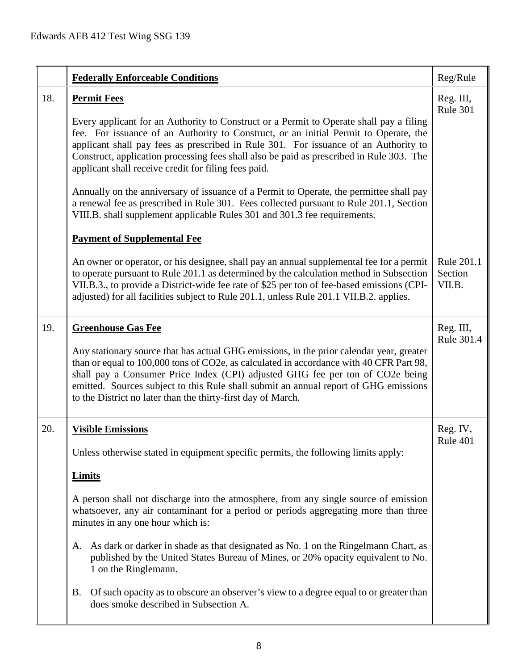|     | <b>Federally Enforceable Conditions</b>                                                                                                                                                                                                                                                                                                                                                                                                                                                                                                                                                                                                                                                                                                                   | Reg/Rule                        |
|-----|-----------------------------------------------------------------------------------------------------------------------------------------------------------------------------------------------------------------------------------------------------------------------------------------------------------------------------------------------------------------------------------------------------------------------------------------------------------------------------------------------------------------------------------------------------------------------------------------------------------------------------------------------------------------------------------------------------------------------------------------------------------|---------------------------------|
| 18. | <b>Permit Fees</b><br>Every applicant for an Authority to Construct or a Permit to Operate shall pay a filing<br>fee. For issuance of an Authority to Construct, or an initial Permit to Operate, the<br>applicant shall pay fees as prescribed in Rule 301. For issuance of an Authority to<br>Construct, application processing fees shall also be paid as prescribed in Rule 303. The<br>applicant shall receive credit for filing fees paid.<br>Annually on the anniversary of issuance of a Permit to Operate, the permittee shall pay<br>a renewal fee as prescribed in Rule 301. Fees collected pursuant to Rule 201.1, Section<br>VIII.B. shall supplement applicable Rules 301 and 301.3 fee requirements.<br><b>Payment of Supplemental Fee</b> | Reg. III,<br>Rule 301           |
|     | An owner or operator, or his designee, shall pay an annual supplemental fee for a permit<br>to operate pursuant to Rule 201.1 as determined by the calculation method in Subsection<br>VII.B.3., to provide a District-wide fee rate of \$25 per ton of fee-based emissions (CPI-<br>adjusted) for all facilities subject to Rule 201.1, unless Rule 201.1 VII.B.2. applies.                                                                                                                                                                                                                                                                                                                                                                              | Rule 201.1<br>Section<br>VII.B. |
| 19. | <b>Greenhouse Gas Fee</b><br>Any stationary source that has actual GHG emissions, in the prior calendar year, greater<br>than or equal to 100,000 tons of CO2e, as calculated in accordance with 40 CFR Part 98,<br>shall pay a Consumer Price Index (CPI) adjusted GHG fee per ton of CO2e being<br>emitted. Sources subject to this Rule shall submit an annual report of GHG emissions<br>to the District no later than the thirty-first day of March.                                                                                                                                                                                                                                                                                                 | Reg. III,<br>Rule 301.4         |
| 20. | <b>Visible Emissions</b><br>Unless otherwise stated in equipment specific permits, the following limits apply:<br><b>Limits</b><br>A person shall not discharge into the atmosphere, from any single source of emission<br>whatsoever, any air contaminant for a period or periods aggregating more than three<br>minutes in any one hour which is:<br>As dark or darker in shade as that designated as No. 1 on the Ringelmann Chart, as<br>А.<br>published by the United States Bureau of Mines, or 20% opacity equivalent to No.<br>1 on the Ringlemann.<br>Of such opacity as to obscure an observer's view to a degree equal to or greater than<br><b>B.</b><br>does smoke described in Subsection A.                                                | Reg. IV,<br>Rule 401            |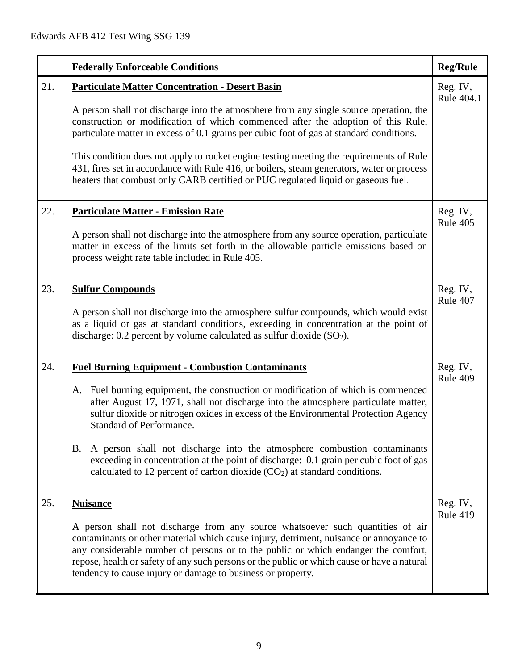|     | <b>Federally Enforceable Conditions</b>                                                                                                                                                                                                                                                                                                                                                                                                                                                                                                                                                                                     | <b>Reg/Rule</b>             |
|-----|-----------------------------------------------------------------------------------------------------------------------------------------------------------------------------------------------------------------------------------------------------------------------------------------------------------------------------------------------------------------------------------------------------------------------------------------------------------------------------------------------------------------------------------------------------------------------------------------------------------------------------|-----------------------------|
| 21. | <b>Particulate Matter Concentration - Desert Basin</b><br>A person shall not discharge into the atmosphere from any single source operation, the<br>construction or modification of which commenced after the adoption of this Rule,<br>particulate matter in excess of 0.1 grains per cubic foot of gas at standard conditions.<br>This condition does not apply to rocket engine testing meeting the requirements of Rule<br>431, fires set in accordance with Rule 416, or boilers, steam generators, water or process<br>heaters that combust only CARB certified or PUC regulated liquid or gaseous fuel.              | Reg. IV,<br>Rule 404.1      |
| 22. | <b>Particulate Matter - Emission Rate</b><br>A person shall not discharge into the atmosphere from any source operation, particulate<br>matter in excess of the limits set forth in the allowable particle emissions based on<br>process weight rate table included in Rule 405.                                                                                                                                                                                                                                                                                                                                            | Reg. IV,<br>Rule 405        |
| 23. | <b>Sulfur Compounds</b><br>A person shall not discharge into the atmosphere sulfur compounds, which would exist<br>as a liquid or gas at standard conditions, exceeding in concentration at the point of<br>discharge: $0.2$ percent by volume calculated as sulfur dioxide $(SO2)$ .                                                                                                                                                                                                                                                                                                                                       | Reg. IV,<br>Rule 407        |
| 24. | <b>Fuel Burning Equipment - Combustion Contaminants</b><br>Fuel burning equipment, the construction or modification of which is commenced<br>A.<br>after August 17, 1971, shall not discharge into the atmosphere particulate matter,<br>sulfur dioxide or nitrogen oxides in excess of the Environmental Protection Agency<br>Standard of Performance.<br>A person shall not discharge into the atmosphere combustion contaminants<br>B.<br>exceeding in concentration at the point of discharge: 0.1 grain per cubic foot of gas<br>calculated to 12 percent of carbon dioxide (CO <sub>2</sub> ) at standard conditions. | Reg. IV,<br>Rule 409        |
| 25. | <b>Nuisance</b><br>A person shall not discharge from any source whatsoever such quantities of air<br>contaminants or other material which cause injury, detriment, nuisance or annoyance to<br>any considerable number of persons or to the public or which endanger the comfort,<br>repose, health or safety of any such persons or the public or which cause or have a natural<br>tendency to cause injury or damage to business or property.                                                                                                                                                                             | Reg. IV,<br><b>Rule 419</b> |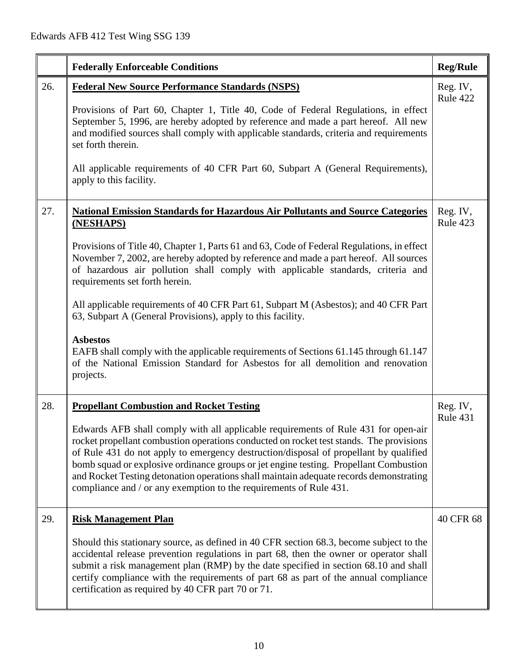|     | <b>Federally Enforceable Conditions</b>                                                                                                                                                                                                                                                                                                                                                                                                                                                                                         | <b>Reg/Rule</b>      |
|-----|---------------------------------------------------------------------------------------------------------------------------------------------------------------------------------------------------------------------------------------------------------------------------------------------------------------------------------------------------------------------------------------------------------------------------------------------------------------------------------------------------------------------------------|----------------------|
| 26. | <b>Federal New Source Performance Standards (NSPS)</b>                                                                                                                                                                                                                                                                                                                                                                                                                                                                          | Reg. IV,<br>Rule 422 |
|     | Provisions of Part 60, Chapter 1, Title 40, Code of Federal Regulations, in effect<br>September 5, 1996, are hereby adopted by reference and made a part hereof. All new<br>and modified sources shall comply with applicable standards, criteria and requirements<br>set forth therein.                                                                                                                                                                                                                                        |                      |
|     | All applicable requirements of 40 CFR Part 60, Subpart A (General Requirements),<br>apply to this facility.                                                                                                                                                                                                                                                                                                                                                                                                                     |                      |
| 27. | <b>National Emission Standards for Hazardous Air Pollutants and Source Categories</b><br>(NESHAPS)                                                                                                                                                                                                                                                                                                                                                                                                                              | Reg. IV,<br>Rule 423 |
|     | Provisions of Title 40, Chapter 1, Parts 61 and 63, Code of Federal Regulations, in effect<br>November 7, 2002, are hereby adopted by reference and made a part hereof. All sources<br>of hazardous air pollution shall comply with applicable standards, criteria and<br>requirements set forth herein.                                                                                                                                                                                                                        |                      |
|     | All applicable requirements of 40 CFR Part 61, Subpart M (Asbestos); and 40 CFR Part<br>63, Subpart A (General Provisions), apply to this facility.                                                                                                                                                                                                                                                                                                                                                                             |                      |
|     | <b>Asbestos</b><br>EAFB shall comply with the applicable requirements of Sections 61.145 through 61.147<br>of the National Emission Standard for Asbestos for all demolition and renovation<br>projects.                                                                                                                                                                                                                                                                                                                        |                      |
| 28. | <b>Propellant Combustion and Rocket Testing</b>                                                                                                                                                                                                                                                                                                                                                                                                                                                                                 | Reg. IV,<br>Rule 431 |
|     | Edwards AFB shall comply with all applicable requirements of Rule 431 for open-air<br>rocket propellant combustion operations conducted on rocket test stands. The provisions<br>of Rule 431 do not apply to emergency destruction/disposal of propellant by qualified<br>bomb squad or explosive ordinance groups or jet engine testing. Propellant Combustion<br>and Rocket Testing detonation operations shall maintain adequate records demonstrating<br>compliance and / or any exemption to the requirements of Rule 431. |                      |
| 29. | <b>Risk Management Plan</b>                                                                                                                                                                                                                                                                                                                                                                                                                                                                                                     | 40 CFR 68            |
|     | Should this stationary source, as defined in 40 CFR section 68.3, become subject to the<br>accidental release prevention regulations in part 68, then the owner or operator shall<br>submit a risk management plan (RMP) by the date specified in section 68.10 and shall<br>certify compliance with the requirements of part 68 as part of the annual compliance<br>certification as required by 40 CFR part 70 or 71.                                                                                                         |                      |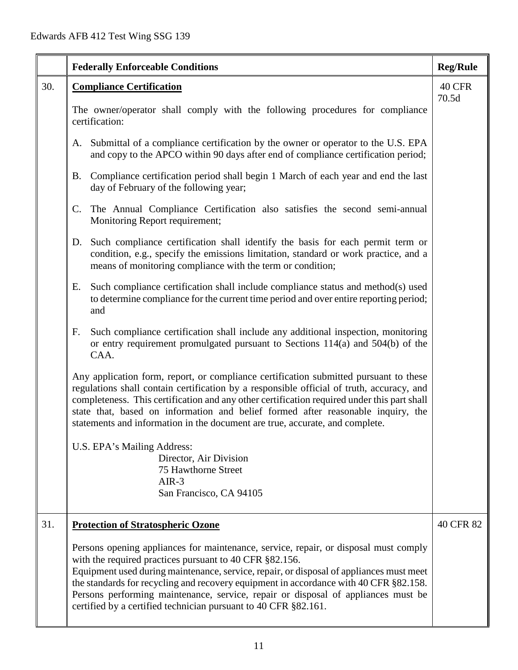|     |                | <b>Federally Enforceable Conditions</b>                                                                                                                                                                                                                                                                                                                                                                                                                                                     | <b>Reg/Rule</b>        |
|-----|----------------|---------------------------------------------------------------------------------------------------------------------------------------------------------------------------------------------------------------------------------------------------------------------------------------------------------------------------------------------------------------------------------------------------------------------------------------------------------------------------------------------|------------------------|
| 30. |                | <b>Compliance Certification</b>                                                                                                                                                                                                                                                                                                                                                                                                                                                             | <b>40 CFR</b><br>70.5d |
|     |                | The owner/operator shall comply with the following procedures for compliance<br>certification:                                                                                                                                                                                                                                                                                                                                                                                              |                        |
|     |                | A. Submittal of a compliance certification by the owner or operator to the U.S. EPA<br>and copy to the APCO within 90 days after end of compliance certification period;                                                                                                                                                                                                                                                                                                                    |                        |
|     | <b>B.</b>      | Compliance certification period shall begin 1 March of each year and end the last<br>day of February of the following year;                                                                                                                                                                                                                                                                                                                                                                 |                        |
|     | $\mathbf{C}$ . | The Annual Compliance Certification also satisfies the second semi-annual<br>Monitoring Report requirement;                                                                                                                                                                                                                                                                                                                                                                                 |                        |
|     | D.             | Such compliance certification shall identify the basis for each permit term or<br>condition, e.g., specify the emissions limitation, standard or work practice, and a<br>means of monitoring compliance with the term or condition;                                                                                                                                                                                                                                                         |                        |
|     | Е.             | Such compliance certification shall include compliance status and method(s) used<br>to determine compliance for the current time period and over entire reporting period;<br>and                                                                                                                                                                                                                                                                                                            |                        |
|     | F.             | Such compliance certification shall include any additional inspection, monitoring<br>or entry requirement promulgated pursuant to Sections 114(a) and 504(b) of the<br>CAA.                                                                                                                                                                                                                                                                                                                 |                        |
|     |                | Any application form, report, or compliance certification submitted pursuant to these<br>regulations shall contain certification by a responsible official of truth, accuracy, and<br>completeness. This certification and any other certification required under this part shall<br>state that, based on information and belief formed after reasonable inquiry, the<br>statements and information in the document are true, accurate, and complete.                                       |                        |
|     |                | U.S. EPA's Mailing Address:                                                                                                                                                                                                                                                                                                                                                                                                                                                                 |                        |
|     |                | Director, Air Division<br>75 Hawthorne Street                                                                                                                                                                                                                                                                                                                                                                                                                                               |                        |
|     |                | $AIR-3$                                                                                                                                                                                                                                                                                                                                                                                                                                                                                     |                        |
|     |                | San Francisco, CA 94105                                                                                                                                                                                                                                                                                                                                                                                                                                                                     |                        |
| 31. |                | <b>Protection of Stratospheric Ozone</b>                                                                                                                                                                                                                                                                                                                                                                                                                                                    | 40 CFR 82              |
|     |                | Persons opening appliances for maintenance, service, repair, or disposal must comply<br>with the required practices pursuant to 40 CFR §82.156.<br>Equipment used during maintenance, service, repair, or disposal of appliances must meet<br>the standards for recycling and recovery equipment in accordance with 40 CFR §82.158.<br>Persons performing maintenance, service, repair or disposal of appliances must be<br>certified by a certified technician pursuant to 40 CFR §82.161. |                        |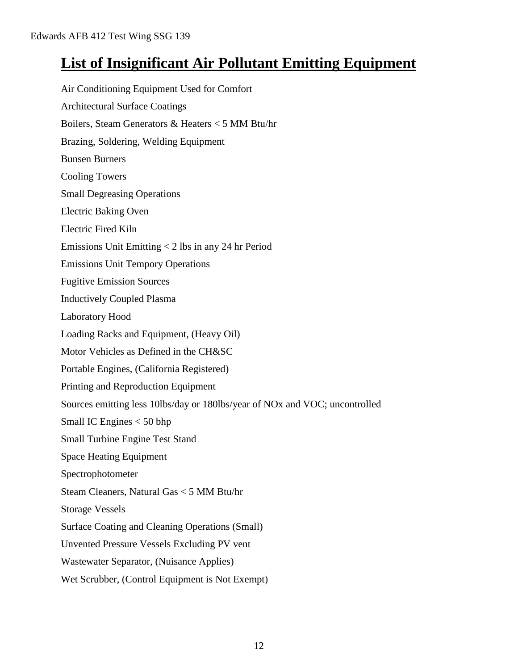# **List of Insignificant Air Pollutant Emitting Equipment**

Air Conditioning Equipment Used for Comfort Architectural Surface Coatings Boilers, Steam Generators & Heaters < 5 MM Btu/hr Brazing, Soldering, Welding Equipment Bunsen Burners Cooling Towers Small Degreasing Operations Electric Baking Oven Electric Fired Kiln Emissions Unit Emitting < 2 lbs in any 24 hr Period Emissions Unit Tempory Operations Fugitive Emission Sources Inductively Coupled Plasma Laboratory Hood Loading Racks and Equipment, (Heavy Oil) Motor Vehicles as Defined in the CH&SC Portable Engines, (California Registered) Printing and Reproduction Equipment Sources emitting less 10lbs/day or 180lbs/year of NOx and VOC; uncontrolled Small IC Engines < 50 bhp Small Turbine Engine Test Stand Space Heating Equipment Spectrophotometer Steam Cleaners, Natural Gas < 5 MM Btu/hr Storage Vessels Surface Coating and Cleaning Operations (Small) Unvented Pressure Vessels Excluding PV vent Wastewater Separator, (Nuisance Applies) Wet Scrubber, (Control Equipment is Not Exempt)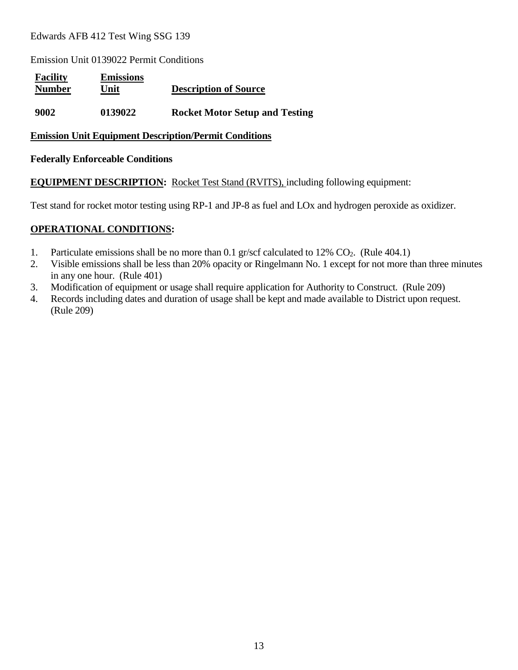Emission Unit 0139022 Permit Conditions

| <b>Facility</b><br><b>Number</b> | <b>Emissions</b><br>Unit | <b>Description of Source</b>          |
|----------------------------------|--------------------------|---------------------------------------|
| 9002                             | 0139022                  | <b>Rocket Motor Setup and Testing</b> |

#### **Emission Unit Equipment Description/Permit Conditions**

#### **Federally Enforceable Conditions**

**EQUIPMENT DESCRIPTION:** Rocket Test Stand (RVITS), including following equipment:

Test stand for rocket motor testing using RP-1 and JP-8 as fuel and LOx and hydrogen peroxide as oxidizer.

#### **OPERATIONAL CONDITIONS:**

- 1. Particulate emissions shall be no more than 0.1 gr/scf calculated to 12% CO<sub>2</sub>. (Rule 404.1)
- 2. Visible emissions shall be less than 20% opacity or Ringelmann No. 1 except for not more than three minutes in any one hour. (Rule 401)
- 3. Modification of equipment or usage shall require application for Authority to Construct. (Rule 209)
- 4. Records including dates and duration of usage shall be kept and made available to District upon request. (Rule 209)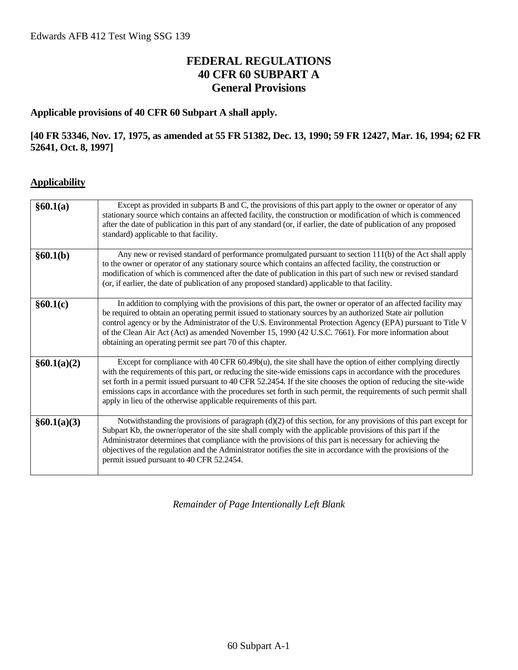# **FEDERAL REGULATIONS 40 CFR 60 SUBPART A General Provisions**

#### **Applicable provisions of 40 CFR 60 Subpart A shall apply.**

#### **[40 FR 53346, Nov. 17, 1975, as amended at 55 FR 51382, Dec. 13, 1990; 59 FR 12427, Mar. 16, 1994; 62 FR 52641, Oct. 8, 1997]**

#### **Applicability**

| §60.1(a)    | Except as provided in subparts B and C, the provisions of this part apply to the owner or operator of any<br>stationary source which contains an affected facility, the construction or modification of which is commenced<br>after the date of publication in this part of any standard (or, if earlier, the date of publication of any proposed<br>standard) applicable to that facility.                                                                                                                                                 |
|-------------|---------------------------------------------------------------------------------------------------------------------------------------------------------------------------------------------------------------------------------------------------------------------------------------------------------------------------------------------------------------------------------------------------------------------------------------------------------------------------------------------------------------------------------------------|
| §60.1(b)    | Any new or revised standard of performance promulgated pursuant to section 111(b) of the Act shall apply<br>to the owner or operator of any stationary source which contains an affected facility, the construction or<br>modification of which is commenced after the date of publication in this part of such new or revised standard<br>(or, if earlier, the date of publication of any proposed standard) applicable to that facility.                                                                                                  |
| §60.1(c)    | In addition to complying with the provisions of this part, the owner or operator of an affected facility may<br>be required to obtain an operating permit issued to stationary sources by an authorized State air pollution<br>control agency or by the Administrator of the U.S. Environmental Protection Agency (EPA) pursuant to Title V<br>of the Clean Air Act (Act) as amended November 15, 1990 (42 U.S.C. 7661). For more information about<br>obtaining an operating permit see part 70 of this chapter.                           |
| §60.1(a)(2) | Except for compliance with 40 CFR 60.49b(u), the site shall have the option of either complying directly<br>with the requirements of this part, or reducing the site-wide emissions caps in accordance with the procedures<br>set forth in a permit issued pursuant to 40 CFR 52.2454. If the site chooses the option of reducing the site-wide<br>emissions caps in accordance with the procedures set forth in such permit, the requirements of such permit shall<br>apply in lieu of the otherwise applicable requirements of this part. |
| §60.1(a)(3) | Notwithstanding the provisions of paragraph (d)(2) of this section, for any provisions of this part except for<br>Subpart Kb, the owner/operator of the site shall comply with the applicable provisions of this part if the<br>Administrator determines that compliance with the provisions of this part is necessary for achieving the<br>objectives of the regulation and the Administrator notifies the site in accordance with the provisions of the<br>permit issued pursuant to 40 CFR 52.2454.                                      |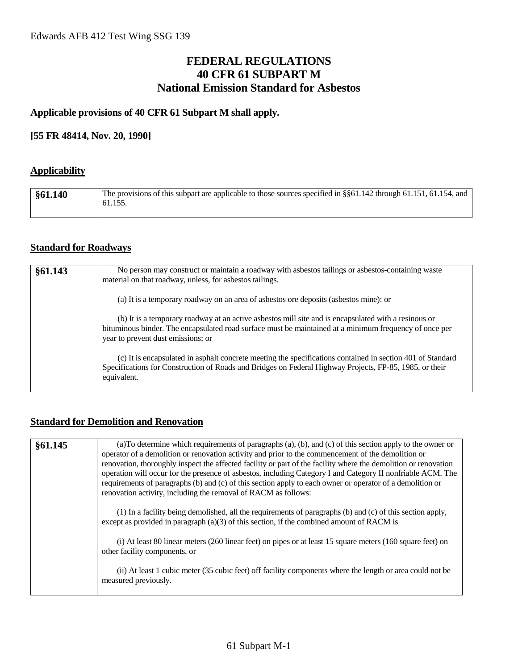### **FEDERAL REGULATIONS 40 CFR 61 SUBPART M National Emission Standard for Asbestos**

#### **Applicable provisions of 40 CFR 61 Subpart M shall apply.**

#### **[55 FR 48414, Nov. 20, 1990]**

#### **Applicability**

| §61.140 | The provisions of this subpart are applicable to those sources specified in §§61.142 through 61.151, 61.154, and<br>61.155. |
|---------|-----------------------------------------------------------------------------------------------------------------------------|
|         |                                                                                                                             |

#### **Standard for Roadways**

| §61.143 | No person may construct or maintain a roadway with asbestos tailings or asbestos-containing waste<br>material on that roadway, unless, for asbestos tailings.                                                                                        |
|---------|------------------------------------------------------------------------------------------------------------------------------------------------------------------------------------------------------------------------------------------------------|
|         | (a) It is a temporary roadway on an area of asbestos ore deposits (asbestos mine): or                                                                                                                                                                |
|         | (b) It is a temporary roadway at an active asbestos mill site and is encapsulated with a resinous or<br>bituminous binder. The encapsulated road surface must be maintained at a minimum frequency of once per<br>year to prevent dust emissions; or |
|         | (c) It is encapsulated in asphalt concrete meeting the specifications contained in section 401 of Standard<br>Specifications for Construction of Roads and Bridges on Federal Highway Projects, FP-85, 1985, or their<br>equivalent.                 |

#### **Standard for Demolition and Renovation**

| §61.145 | (a) To determine which requirements of paragraphs (a), (b), and (c) of this section apply to the owner or<br>operator of a demolition or renovation activity and prior to the commencement of the demolition or<br>renovation, thoroughly inspect the affected facility or part of the facility where the demolition or renovation<br>operation will occur for the presence of asbestos, including Category I and Category II nonfriable ACM. The<br>requirements of paragraphs (b) and (c) of this section apply to each owner or operator of a demolition or<br>renovation activity, including the removal of RACM as follows: |
|---------|----------------------------------------------------------------------------------------------------------------------------------------------------------------------------------------------------------------------------------------------------------------------------------------------------------------------------------------------------------------------------------------------------------------------------------------------------------------------------------------------------------------------------------------------------------------------------------------------------------------------------------|
|         | (1) In a facility being demolished, all the requirements of paragraphs (b) and (c) of this section apply,<br>except as provided in paragraph $(a)(3)$ of this section, if the combined amount of RACM is                                                                                                                                                                                                                                                                                                                                                                                                                         |
|         | (i) At least 80 linear meters (260 linear feet) on pipes or at least 15 square meters (160 square feet) on<br>other facility components, or                                                                                                                                                                                                                                                                                                                                                                                                                                                                                      |
|         | (ii) At least 1 cubic meter (35 cubic feet) off facility components where the length or area could not be<br>measured previously.                                                                                                                                                                                                                                                                                                                                                                                                                                                                                                |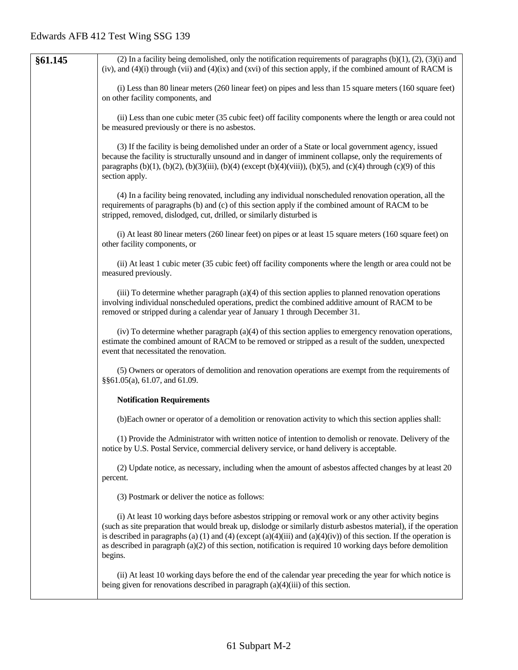| §61.145 | (2) In a facility being demolished, only the notification requirements of paragraphs $(b)(1)$ , $(2)$ , $(3)(i)$ and<br>(iv), and $(4)(i)$ through (vii) and $(4)(ix)$ and (xvi) of this section apply, if the combined amount of RACM is                                                                                                                                                                                                                                    |
|---------|------------------------------------------------------------------------------------------------------------------------------------------------------------------------------------------------------------------------------------------------------------------------------------------------------------------------------------------------------------------------------------------------------------------------------------------------------------------------------|
|         | (i) Less than 80 linear meters (260 linear feet) on pipes and less than 15 square meters (160 square feet)<br>on other facility components, and                                                                                                                                                                                                                                                                                                                              |
|         | (ii) Less than one cubic meter (35 cubic feet) off facility components where the length or area could not<br>be measured previously or there is no asbestos.                                                                                                                                                                                                                                                                                                                 |
|         | (3) If the facility is being demolished under an order of a State or local government agency, issued<br>because the facility is structurally unsound and in danger of imminent collapse, only the requirements of<br>paragraphs (b)(1), (b)(2), (b)(3)(iii), (b)(4) (except (b)(4)(viii)), (b)(5), and (c)(4) through (c)(9) of this<br>section apply.                                                                                                                       |
|         | (4) In a facility being renovated, including any individual nonscheduled renovation operation, all the<br>requirements of paragraphs (b) and (c) of this section apply if the combined amount of RACM to be<br>stripped, removed, dislodged, cut, drilled, or similarly disturbed is                                                                                                                                                                                         |
|         | (i) At least 80 linear meters (260 linear feet) on pipes or at least 15 square meters (160 square feet) on<br>other facility components, or                                                                                                                                                                                                                                                                                                                                  |
|         | (ii) At least 1 cubic meter (35 cubic feet) off facility components where the length or area could not be<br>measured previously.                                                                                                                                                                                                                                                                                                                                            |
|         | (iii) To determine whether paragraph $(a)(4)$ of this section applies to planned renovation operations<br>involving individual nonscheduled operations, predict the combined additive amount of RACM to be<br>removed or stripped during a calendar year of January 1 through December 31.                                                                                                                                                                                   |
|         | (iv) To determine whether paragraph (a)(4) of this section applies to emergency renovation operations,<br>estimate the combined amount of RACM to be removed or stripped as a result of the sudden, unexpected<br>event that necessitated the renovation.                                                                                                                                                                                                                    |
|         | (5) Owners or operators of demolition and renovation operations are exempt from the requirements of<br>§§61.05(a), 61.07, and 61.09.                                                                                                                                                                                                                                                                                                                                         |
|         | <b>Notification Requirements</b>                                                                                                                                                                                                                                                                                                                                                                                                                                             |
|         | (b) Each owner or operator of a demolition or renovation activity to which this section applies shall:                                                                                                                                                                                                                                                                                                                                                                       |
|         | (1) Provide the Administrator with written notice of intention to demolish or renovate. Delivery of the<br>notice by U.S. Postal Service, commercial delivery service, or hand delivery is acceptable.                                                                                                                                                                                                                                                                       |
|         | (2) Update notice, as necessary, including when the amount of asbestos affected changes by at least 20<br>percent.                                                                                                                                                                                                                                                                                                                                                           |
|         | (3) Postmark or deliver the notice as follows:                                                                                                                                                                                                                                                                                                                                                                                                                               |
|         | (i) At least 10 working days before asbestos stripping or removal work or any other activity begins<br>(such as site preparation that would break up, dislodge or similarly disturb asbestos material), if the operation<br>is described in paragraphs (a) (1) and (4) (except (a)(4)(iii) and (a)(4)(iv)) of this section. If the operation is<br>as described in paragraph $(a)(2)$ of this section, notification is required 10 working days before demolition<br>begins. |
|         | (ii) At least 10 working days before the end of the calendar year preceding the year for which notice is<br>being given for renovations described in paragraph $(a)(4)(iii)$ of this section.                                                                                                                                                                                                                                                                                |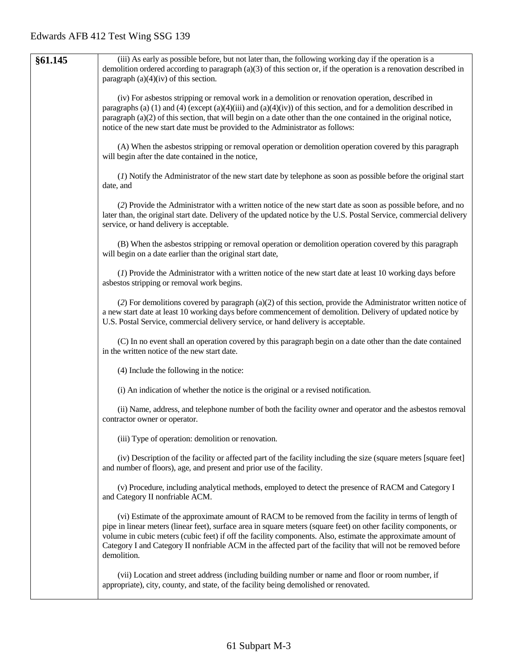| §61.145 | (iii) As early as possible before, but not later than, the following working day if the operation is a<br>demolition ordered according to paragraph $(a)(3)$ of this section or, if the operation is a renovation described in<br>paragraph $(a)(4)(iv)$ of this section.                                                                                                                                                                                                   |
|---------|-----------------------------------------------------------------------------------------------------------------------------------------------------------------------------------------------------------------------------------------------------------------------------------------------------------------------------------------------------------------------------------------------------------------------------------------------------------------------------|
|         | (iv) For asbestos stripping or removal work in a demolition or renovation operation, described in<br>paragraphs (a) (1) and (4) (except (a)(4)(iii) and (a)(4)(iv)) of this section, and for a demolition described in<br>paragraph (a)(2) of this section, that will begin on a date other than the one contained in the original notice,<br>notice of the new start date must be provided to the Administrator as follows:                                                |
|         | (A) When the asbestos stripping or removal operation or demolition operation covered by this paragraph<br>will begin after the date contained in the notice,                                                                                                                                                                                                                                                                                                                |
|         | (1) Notify the Administrator of the new start date by telephone as soon as possible before the original start<br>date, and                                                                                                                                                                                                                                                                                                                                                  |
|         | (2) Provide the Administrator with a written notice of the new start date as soon as possible before, and no<br>later than, the original start date. Delivery of the updated notice by the U.S. Postal Service, commercial delivery<br>service, or hand delivery is acceptable.                                                                                                                                                                                             |
|         | (B) When the asbestos stripping or removal operation or demolition operation covered by this paragraph<br>will begin on a date earlier than the original start date,                                                                                                                                                                                                                                                                                                        |
|         | (1) Provide the Administrator with a written notice of the new start date at least 10 working days before<br>asbestos stripping or removal work begins.                                                                                                                                                                                                                                                                                                                     |
|         | (2) For demolitions covered by paragraph (a)(2) of this section, provide the Administrator written notice of<br>a new start date at least 10 working days before commencement of demolition. Delivery of updated notice by<br>U.S. Postal Service, commercial delivery service, or hand delivery is acceptable.                                                                                                                                                             |
|         | (C) In no event shall an operation covered by this paragraph begin on a date other than the date contained<br>in the written notice of the new start date.                                                                                                                                                                                                                                                                                                                  |
|         | (4) Include the following in the notice:                                                                                                                                                                                                                                                                                                                                                                                                                                    |
|         | (i) An indication of whether the notice is the original or a revised notification.                                                                                                                                                                                                                                                                                                                                                                                          |
|         | (ii) Name, address, and telephone number of both the facility owner and operator and the asbestos removal<br>contractor owner or operator.                                                                                                                                                                                                                                                                                                                                  |
|         | (iii) Type of operation: demolition or renovation.                                                                                                                                                                                                                                                                                                                                                                                                                          |
|         | (iv) Description of the facility or affected part of the facility including the size (square meters [square feet]<br>and number of floors), age, and present and prior use of the facility.                                                                                                                                                                                                                                                                                 |
|         | (v) Procedure, including analytical methods, employed to detect the presence of RACM and Category I<br>and Category II nonfriable ACM.                                                                                                                                                                                                                                                                                                                                      |
|         | (vi) Estimate of the approximate amount of RACM to be removed from the facility in terms of length of<br>pipe in linear meters (linear feet), surface area in square meters (square feet) on other facility components, or<br>volume in cubic meters (cubic feet) if off the facility components. Also, estimate the approximate amount of<br>Category I and Category II nonfriable ACM in the affected part of the facility that will not be removed before<br>demolition. |
|         | (vii) Location and street address (including building number or name and floor or room number, if<br>appropriate), city, county, and state, of the facility being demolished or renovated.                                                                                                                                                                                                                                                                                  |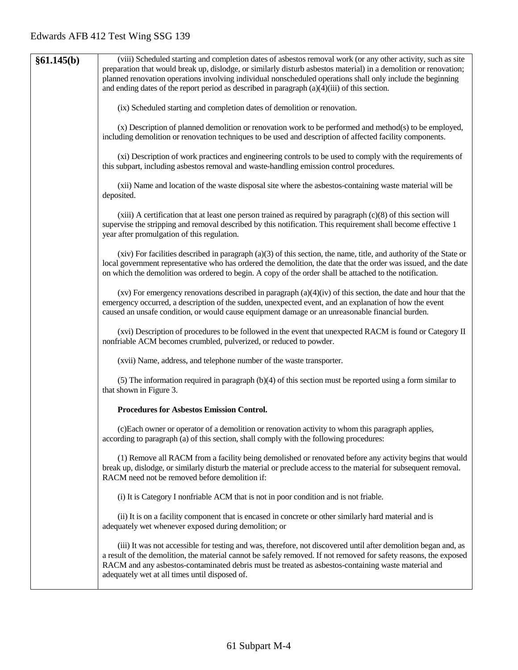| §61.145(b) | (viii) Scheduled starting and completion dates of asbestos removal work (or any other activity, such as site<br>preparation that would break up, dislodge, or similarly disturb asbestos material) in a demolition or renovation;<br>planned renovation operations involving individual nonscheduled operations shall only include the beginning<br>and ending dates of the report period as described in paragraph $(a)(4)(iii)$ of this section. |
|------------|----------------------------------------------------------------------------------------------------------------------------------------------------------------------------------------------------------------------------------------------------------------------------------------------------------------------------------------------------------------------------------------------------------------------------------------------------|
|            | (ix) Scheduled starting and completion dates of demolition or renovation.                                                                                                                                                                                                                                                                                                                                                                          |
|            | (x) Description of planned demolition or renovation work to be performed and method(s) to be employed,<br>including demolition or renovation techniques to be used and description of affected facility components.                                                                                                                                                                                                                                |
|            | (xi) Description of work practices and engineering controls to be used to comply with the requirements of<br>this subpart, including asbestos removal and waste-handling emission control procedures.                                                                                                                                                                                                                                              |
|            | (xii) Name and location of the waste disposal site where the asbestos-containing waste material will be<br>deposited.                                                                                                                                                                                                                                                                                                                              |
|            | $(xiii)$ A certification that at least one person trained as required by paragraph $(c)(8)$ of this section will<br>supervise the stripping and removal described by this notification. This requirement shall become effective 1<br>year after promulgation of this regulation.                                                                                                                                                                   |
|            | $(xiv)$ For facilities described in paragraph $(a)(3)$ of this section, the name, title, and authority of the State or<br>local government representative who has ordered the demolition, the date that the order was issued, and the date<br>on which the demolition was ordered to begin. A copy of the order shall be attached to the notification.                                                                                             |
|            | (xv) For emergency renovations described in paragraph $(a)(4)(iv)$ of this section, the date and hour that the<br>emergency occurred, a description of the sudden, unexpected event, and an explanation of how the event<br>caused an unsafe condition, or would cause equipment damage or an unreasonable financial burden.                                                                                                                       |
|            | (xvi) Description of procedures to be followed in the event that unexpected RACM is found or Category II<br>nonfriable ACM becomes crumbled, pulverized, or reduced to powder.                                                                                                                                                                                                                                                                     |
|            | (xvii) Name, address, and telephone number of the waste transporter.                                                                                                                                                                                                                                                                                                                                                                               |
|            | (5) The information required in paragraph $(b)(4)$ of this section must be reported using a form similar to<br>that shown in Figure 3.                                                                                                                                                                                                                                                                                                             |
|            | Procedures for Asbestos Emission Control.                                                                                                                                                                                                                                                                                                                                                                                                          |
|            | (c)Each owner or operator of a demolition or renovation activity to whom this paragraph applies,<br>according to paragraph (a) of this section, shall comply with the following procedures:                                                                                                                                                                                                                                                        |
|            | (1) Remove all RACM from a facility being demolished or renovated before any activity begins that would<br>break up, dislodge, or similarly disturb the material or preclude access to the material for subsequent removal.<br>RACM need not be removed before demolition if:                                                                                                                                                                      |
|            | (i) It is Category I nonfriable ACM that is not in poor condition and is not friable.                                                                                                                                                                                                                                                                                                                                                              |
|            | (ii) It is on a facility component that is encased in concrete or other similarly hard material and is<br>adequately wet whenever exposed during demolition; or                                                                                                                                                                                                                                                                                    |
|            | (iii) It was not accessible for testing and was, therefore, not discovered until after demolition began and, as<br>a result of the demolition, the material cannot be safely removed. If not removed for safety reasons, the exposed<br>RACM and any asbestos-contaminated debris must be treated as asbestos-containing waste material and<br>adequately wet at all times until disposed of.                                                      |
|            |                                                                                                                                                                                                                                                                                                                                                                                                                                                    |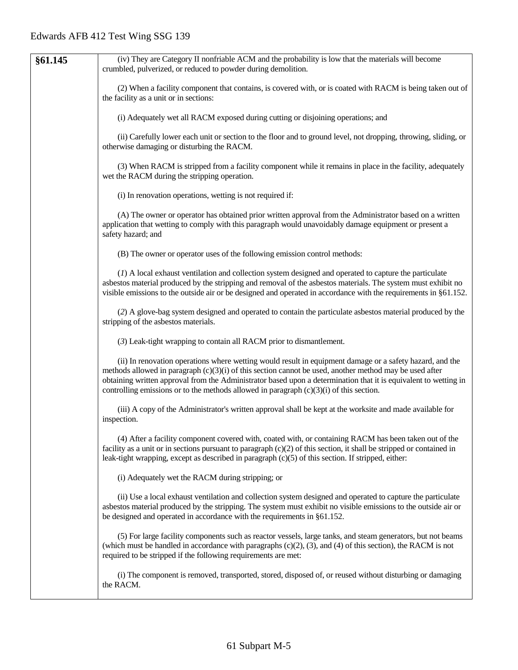| §61.145 | (iv) They are Category II nonfriable ACM and the probability is low that the materials will become                                                                                                                                                                                                                                                                                                                                     |
|---------|----------------------------------------------------------------------------------------------------------------------------------------------------------------------------------------------------------------------------------------------------------------------------------------------------------------------------------------------------------------------------------------------------------------------------------------|
|         | crumbled, pulverized, or reduced to powder during demolition.                                                                                                                                                                                                                                                                                                                                                                          |
|         | (2) When a facility component that contains, is covered with, or is coated with RACM is being taken out of<br>the facility as a unit or in sections:                                                                                                                                                                                                                                                                                   |
|         | (i) Adequately wet all RACM exposed during cutting or disjoining operations; and                                                                                                                                                                                                                                                                                                                                                       |
|         | (ii) Carefully lower each unit or section to the floor and to ground level, not dropping, throwing, sliding, or<br>otherwise damaging or disturbing the RACM.                                                                                                                                                                                                                                                                          |
|         | (3) When RACM is stripped from a facility component while it remains in place in the facility, adequately<br>wet the RACM during the stripping operation.                                                                                                                                                                                                                                                                              |
|         | (i) In renovation operations, wetting is not required if:                                                                                                                                                                                                                                                                                                                                                                              |
|         | (A) The owner or operator has obtained prior written approval from the Administrator based on a written<br>application that wetting to comply with this paragraph would unavoidably damage equipment or present a<br>safety hazard; and                                                                                                                                                                                                |
|         | (B) The owner or operator uses of the following emission control methods:                                                                                                                                                                                                                                                                                                                                                              |
|         | (1) A local exhaust ventilation and collection system designed and operated to capture the particulate<br>asbestos material produced by the stripping and removal of the asbestos materials. The system must exhibit no<br>visible emissions to the outside air or be designed and operated in accordance with the requirements in §61.152.                                                                                            |
|         | (2) A glove-bag system designed and operated to contain the particulate asbestos material produced by the<br>stripping of the asbestos materials.                                                                                                                                                                                                                                                                                      |
|         | (3) Leak-tight wrapping to contain all RACM prior to dismantlement.                                                                                                                                                                                                                                                                                                                                                                    |
|         | (ii) In renovation operations where wetting would result in equipment damage or a safety hazard, and the<br>methods allowed in paragraph $(c)(3)(i)$ of this section cannot be used, another method may be used after<br>obtaining written approval from the Administrator based upon a determination that it is equivalent to wetting in<br>controlling emissions or to the methods allowed in paragraph $(c)(3)(i)$ of this section. |
|         | (iii) A copy of the Administrator's written approval shall be kept at the worksite and made available for<br>inspection.                                                                                                                                                                                                                                                                                                               |
|         | (4) After a facility component covered with, coated with, or containing RACM has been taken out of the<br>facility as a unit or in sections pursuant to paragraph $(c)(2)$ of this section, it shall be stripped or contained in<br>leak-tight wrapping, except as described in paragraph $(c)(5)$ of this section. If stripped, either:                                                                                               |
|         | (i) Adequately wet the RACM during stripping; or                                                                                                                                                                                                                                                                                                                                                                                       |
|         | (ii) Use a local exhaust ventilation and collection system designed and operated to capture the particulate<br>asbestos material produced by the stripping. The system must exhibit no visible emissions to the outside air or<br>be designed and operated in accordance with the requirements in §61.152.                                                                                                                             |
|         | (5) For large facility components such as reactor vessels, large tanks, and steam generators, but not beams<br>(which must be handled in accordance with paragraphs $(c)(2)$ , $(3)$ , and $(4)$ of this section), the RACM is not<br>required to be stripped if the following requirements are met:                                                                                                                                   |
|         | (i) The component is removed, transported, stored, disposed of, or reused without disturbing or damaging<br>the RACM.                                                                                                                                                                                                                                                                                                                  |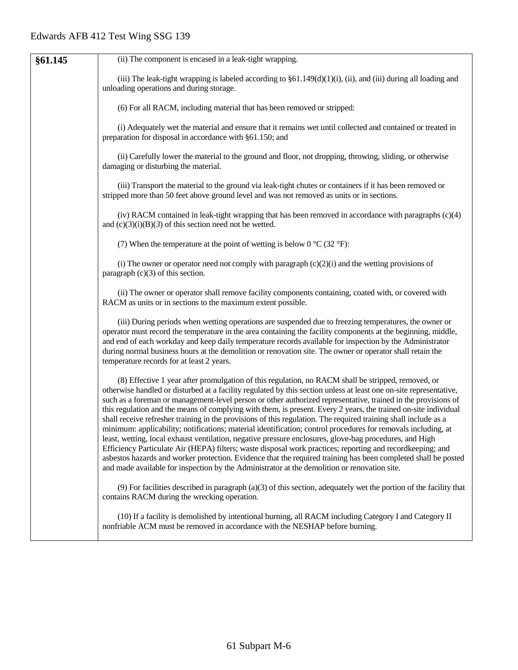| §61.145 | (ii) The component is encased in a leak-tight wrapping.                                                                                                                                                                                                                                                                                                                                                                                                                                                                                                                                                                                                                                                                                                                                                                                                                                                                                                                                                                                                                                                                                     |
|---------|---------------------------------------------------------------------------------------------------------------------------------------------------------------------------------------------------------------------------------------------------------------------------------------------------------------------------------------------------------------------------------------------------------------------------------------------------------------------------------------------------------------------------------------------------------------------------------------------------------------------------------------------------------------------------------------------------------------------------------------------------------------------------------------------------------------------------------------------------------------------------------------------------------------------------------------------------------------------------------------------------------------------------------------------------------------------------------------------------------------------------------------------|
|         | (iii) The leak-tight wrapping is labeled according to $\S61.149(d)(1)(i)$ , (ii), and (iii) during all loading and<br>unloading operations and during storage.                                                                                                                                                                                                                                                                                                                                                                                                                                                                                                                                                                                                                                                                                                                                                                                                                                                                                                                                                                              |
|         | (6) For all RACM, including material that has been removed or stripped:                                                                                                                                                                                                                                                                                                                                                                                                                                                                                                                                                                                                                                                                                                                                                                                                                                                                                                                                                                                                                                                                     |
|         | (i) Adequately wet the material and ensure that it remains wet until collected and contained or treated in<br>preparation for disposal in accordance with §61.150; and                                                                                                                                                                                                                                                                                                                                                                                                                                                                                                                                                                                                                                                                                                                                                                                                                                                                                                                                                                      |
|         | (ii) Carefully lower the material to the ground and floor, not dropping, throwing, sliding, or otherwise<br>damaging or disturbing the material.                                                                                                                                                                                                                                                                                                                                                                                                                                                                                                                                                                                                                                                                                                                                                                                                                                                                                                                                                                                            |
|         | (iii) Transport the material to the ground via leak-tight chutes or containers if it has been removed or<br>stripped more than 50 feet above ground level and was not removed as units or in sections.                                                                                                                                                                                                                                                                                                                                                                                                                                                                                                                                                                                                                                                                                                                                                                                                                                                                                                                                      |
|         | (iv) RACM contained in leak-tight wrapping that has been removed in accordance with paragraphs $(c)(4)$<br>and $(c)(3)(i)(B)(3)$ of this section need not be wetted.                                                                                                                                                                                                                                                                                                                                                                                                                                                                                                                                                                                                                                                                                                                                                                                                                                                                                                                                                                        |
|         | (7) When the temperature at the point of wetting is below $0^{\circ}C(32^{\circ}F)$ :                                                                                                                                                                                                                                                                                                                                                                                                                                                                                                                                                                                                                                                                                                                                                                                                                                                                                                                                                                                                                                                       |
|         | (i) The owner or operator need not comply with paragraph $(c)(2)(i)$ and the wetting provisions of<br>paragraph $(c)(3)$ of this section.                                                                                                                                                                                                                                                                                                                                                                                                                                                                                                                                                                                                                                                                                                                                                                                                                                                                                                                                                                                                   |
|         | (ii) The owner or operator shall remove facility components containing, coated with, or covered with<br>RACM as units or in sections to the maximum extent possible.                                                                                                                                                                                                                                                                                                                                                                                                                                                                                                                                                                                                                                                                                                                                                                                                                                                                                                                                                                        |
|         | (iii) During periods when wetting operations are suspended due to freezing temperatures, the owner or<br>operator must record the temperature in the area containing the facility components at the beginning, middle,<br>and end of each workday and keep daily temperature records available for inspection by the Administrator<br>during normal business hours at the demolition or renovation site. The owner or operator shall retain the<br>temperature records for at least 2 years.                                                                                                                                                                                                                                                                                                                                                                                                                                                                                                                                                                                                                                                |
|         | (8) Effective 1 year after promulgation of this regulation, no RACM shall be stripped, removed, or<br>otherwise handled or disturbed at a facility regulated by this section unless at least one on-site representative,<br>such as a foreman or management-level person or other authorized representative, trained in the provisions of<br>this regulation and the means of complying with them, is present. Every 2 years, the trained on-site individual<br>shall receive refresher training in the provisions of this regulation. The required training shall include as a<br>minimum: applicability; notifications; material identification; control procedures for removals including, at<br>least, wetting, local exhaust ventilation, negative pressure enclosures, glove-bag procedures, and High<br>Efficiency Particulate Air (HEPA) filters; waste disposal work practices; reporting and recordkeeping; and<br>asbestos hazards and worker protection. Evidence that the required training has been completed shall be posted<br>and made available for inspection by the Administrator at the demolition or renovation site. |
|         | $(9)$ For facilities described in paragraph (a)(3) of this section, adequately wet the portion of the facility that<br>contains RACM during the wrecking operation.                                                                                                                                                                                                                                                                                                                                                                                                                                                                                                                                                                                                                                                                                                                                                                                                                                                                                                                                                                         |
|         | (10) If a facility is demolished by intentional burning, all RACM including Category I and Category II<br>nonfriable ACM must be removed in accordance with the NESHAP before burning.                                                                                                                                                                                                                                                                                                                                                                                                                                                                                                                                                                                                                                                                                                                                                                                                                                                                                                                                                      |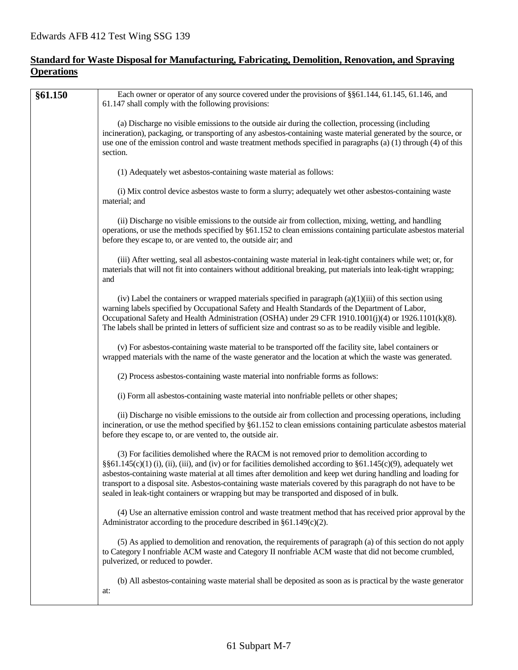#### **Standard for Waste Disposal for Manufacturing, Fabricating, Demolition, Renovation, and Spraying Operations**

| (a) Discharge no visible emissions to the outside air during the collection, processing (including<br>incineration), packaging, or transporting of any asbestos-containing waste material generated by the source, or<br>use one of the emission control and waste treatment methods specified in paragraphs (a) (1) through (4) of this<br>section.<br>(1) Adequately wet asbestos-containing waste material as follows:<br>(i) Mix control device asbestos waste to form a slurry; adequately wet other asbestos-containing waste<br>material; and<br>(ii) Discharge no visible emissions to the outside air from collection, mixing, wetting, and handling<br>operations, or use the methods specified by §61.152 to clean emissions containing particulate asbestos material<br>before they escape to, or are vented to, the outside air; and<br>(iii) After wetting, seal all asbestos-containing waste material in leak-tight containers while wet; or, for<br>materials that will not fit into containers without additional breaking, put materials into leak-tight wrapping;<br>and<br>(iv) Label the containers or wrapped materials specified in paragraph $(a)(1)(iii)$ of this section using<br>warning labels specified by Occupational Safety and Health Standards of the Department of Labor,<br>Occupational Safety and Health Administration (OSHA) under 29 CFR 1910.1001(j)(4) or 1926.1101(k)(8).<br>The labels shall be printed in letters of sufficient size and contrast so as to be readily visible and legible.<br>(v) For asbestos-containing waste material to be transported off the facility site, label containers or<br>wrapped materials with the name of the waste generator and the location at which the waste was generated. | Each owner or operator of any source covered under the provisions of §§61.144, 61.145, 61.146, and |
|-------------------------------------------------------------------------------------------------------------------------------------------------------------------------------------------------------------------------------------------------------------------------------------------------------------------------------------------------------------------------------------------------------------------------------------------------------------------------------------------------------------------------------------------------------------------------------------------------------------------------------------------------------------------------------------------------------------------------------------------------------------------------------------------------------------------------------------------------------------------------------------------------------------------------------------------------------------------------------------------------------------------------------------------------------------------------------------------------------------------------------------------------------------------------------------------------------------------------------------------------------------------------------------------------------------------------------------------------------------------------------------------------------------------------------------------------------------------------------------------------------------------------------------------------------------------------------------------------------------------------------------------------------------------------------------------------------------------------------------------------------------------|----------------------------------------------------------------------------------------------------|
|                                                                                                                                                                                                                                                                                                                                                                                                                                                                                                                                                                                                                                                                                                                                                                                                                                                                                                                                                                                                                                                                                                                                                                                                                                                                                                                                                                                                                                                                                                                                                                                                                                                                                                                                                                   |                                                                                                    |
|                                                                                                                                                                                                                                                                                                                                                                                                                                                                                                                                                                                                                                                                                                                                                                                                                                                                                                                                                                                                                                                                                                                                                                                                                                                                                                                                                                                                                                                                                                                                                                                                                                                                                                                                                                   |                                                                                                    |
|                                                                                                                                                                                                                                                                                                                                                                                                                                                                                                                                                                                                                                                                                                                                                                                                                                                                                                                                                                                                                                                                                                                                                                                                                                                                                                                                                                                                                                                                                                                                                                                                                                                                                                                                                                   |                                                                                                    |
|                                                                                                                                                                                                                                                                                                                                                                                                                                                                                                                                                                                                                                                                                                                                                                                                                                                                                                                                                                                                                                                                                                                                                                                                                                                                                                                                                                                                                                                                                                                                                                                                                                                                                                                                                                   |                                                                                                    |
|                                                                                                                                                                                                                                                                                                                                                                                                                                                                                                                                                                                                                                                                                                                                                                                                                                                                                                                                                                                                                                                                                                                                                                                                                                                                                                                                                                                                                                                                                                                                                                                                                                                                                                                                                                   |                                                                                                    |
|                                                                                                                                                                                                                                                                                                                                                                                                                                                                                                                                                                                                                                                                                                                                                                                                                                                                                                                                                                                                                                                                                                                                                                                                                                                                                                                                                                                                                                                                                                                                                                                                                                                                                                                                                                   |                                                                                                    |
|                                                                                                                                                                                                                                                                                                                                                                                                                                                                                                                                                                                                                                                                                                                                                                                                                                                                                                                                                                                                                                                                                                                                                                                                                                                                                                                                                                                                                                                                                                                                                                                                                                                                                                                                                                   |                                                                                                    |
| (2) Process asbestos-containing waste material into nonfriable forms as follows:                                                                                                                                                                                                                                                                                                                                                                                                                                                                                                                                                                                                                                                                                                                                                                                                                                                                                                                                                                                                                                                                                                                                                                                                                                                                                                                                                                                                                                                                                                                                                                                                                                                                                  |                                                                                                    |
| (i) Form all asbestos-containing waste material into nonfriable pellets or other shapes;                                                                                                                                                                                                                                                                                                                                                                                                                                                                                                                                                                                                                                                                                                                                                                                                                                                                                                                                                                                                                                                                                                                                                                                                                                                                                                                                                                                                                                                                                                                                                                                                                                                                          |                                                                                                    |
| (ii) Discharge no visible emissions to the outside air from collection and processing operations, including<br>incineration, or use the method specified by §61.152 to clean emissions containing particulate asbestos material<br>before they escape to, or are vented to, the outside air.                                                                                                                                                                                                                                                                                                                                                                                                                                                                                                                                                                                                                                                                                                                                                                                                                                                                                                                                                                                                                                                                                                                                                                                                                                                                                                                                                                                                                                                                      |                                                                                                    |
| (3) For facilities demolished where the RACM is not removed prior to demolition according to<br>§§61.145(c)(1) (i), (ii), (iii), and (iv) or for facilities demolished according to §61.145(c)(9), adequately wet<br>asbestos-containing waste material at all times after demolition and keep wet during handling and loading for<br>transport to a disposal site. Asbestos-containing waste materials covered by this paragraph do not have to be<br>sealed in leak-tight containers or wrapping but may be transported and disposed of in bulk.                                                                                                                                                                                                                                                                                                                                                                                                                                                                                                                                                                                                                                                                                                                                                                                                                                                                                                                                                                                                                                                                                                                                                                                                                |                                                                                                    |
| (4) Use an alternative emission control and waste treatment method that has received prior approval by the<br>Administrator according to the procedure described in $\S61.149(c)(2)$ .                                                                                                                                                                                                                                                                                                                                                                                                                                                                                                                                                                                                                                                                                                                                                                                                                                                                                                                                                                                                                                                                                                                                                                                                                                                                                                                                                                                                                                                                                                                                                                            |                                                                                                    |
| (5) As applied to demolition and renovation, the requirements of paragraph (a) of this section do not apply<br>to Category I nonfriable ACM waste and Category II nonfriable ACM waste that did not become crumbled,<br>pulverized, or reduced to powder.                                                                                                                                                                                                                                                                                                                                                                                                                                                                                                                                                                                                                                                                                                                                                                                                                                                                                                                                                                                                                                                                                                                                                                                                                                                                                                                                                                                                                                                                                                         |                                                                                                    |
| (b) All asbestos-containing waste material shall be deposited as soon as is practical by the waste generator<br>at:                                                                                                                                                                                                                                                                                                                                                                                                                                                                                                                                                                                                                                                                                                                                                                                                                                                                                                                                                                                                                                                                                                                                                                                                                                                                                                                                                                                                                                                                                                                                                                                                                                               |                                                                                                    |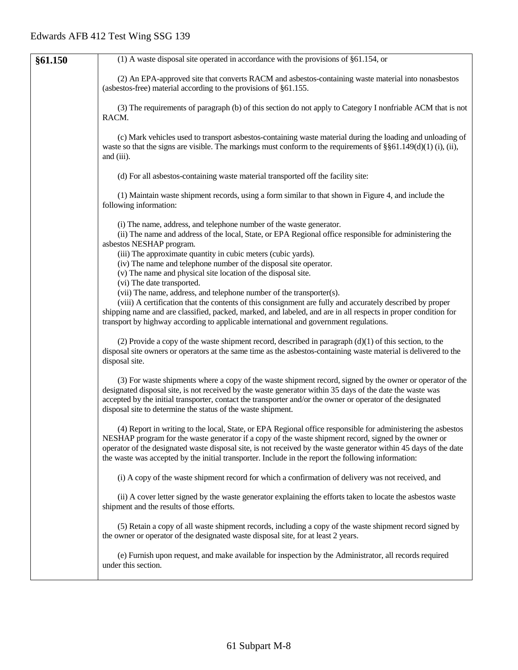| §61.150 | $(1)$ A waste disposal site operated in accordance with the provisions of §61.154, or                                                                                                                                                                                                                                                                                                                                                             |
|---------|---------------------------------------------------------------------------------------------------------------------------------------------------------------------------------------------------------------------------------------------------------------------------------------------------------------------------------------------------------------------------------------------------------------------------------------------------|
|         | (2) An EPA-approved site that converts RACM and asbestos-containing waste material into nonasbestos<br>(asbestos-free) material according to the provisions of $§61.155$ .                                                                                                                                                                                                                                                                        |
|         | (3) The requirements of paragraph (b) of this section do not apply to Category I nonfriable ACM that is not<br>RACM.                                                                                                                                                                                                                                                                                                                              |
|         | (c) Mark vehicles used to transport asbestos-containing waste material during the loading and unloading of<br>waste so that the signs are visible. The markings must conform to the requirements of $\S$ $61.149(d)(1)$ (i), (ii),<br>and (iii).                                                                                                                                                                                                  |
|         | (d) For all asbestos-containing waste material transported off the facility site:                                                                                                                                                                                                                                                                                                                                                                 |
|         | (1) Maintain waste shipment records, using a form similar to that shown in Figure 4, and include the<br>following information:                                                                                                                                                                                                                                                                                                                    |
|         | (i) The name, address, and telephone number of the waste generator.<br>(ii) The name and address of the local, State, or EPA Regional office responsible for administering the<br>asbestos NESHAP program.<br>(iii) The approximate quantity in cubic meters (cubic yards).                                                                                                                                                                       |
|         | (iv) The name and telephone number of the disposal site operator.<br>(v) The name and physical site location of the disposal site.                                                                                                                                                                                                                                                                                                                |
|         | (vi) The date transported.<br>(vii) The name, address, and telephone number of the transporter(s).                                                                                                                                                                                                                                                                                                                                                |
|         | (viii) A certification that the contents of this consignment are fully and accurately described by proper<br>shipping name and are classified, packed, marked, and labeled, and are in all respects in proper condition for<br>transport by highway according to applicable international and government regulations.                                                                                                                             |
|         | (2) Provide a copy of the waste shipment record, described in paragraph $(d)(1)$ of this section, to the<br>disposal site owners or operators at the same time as the asbestos-containing waste material is delivered to the<br>disposal site.                                                                                                                                                                                                    |
|         | (3) For waste shipments where a copy of the waste shipment record, signed by the owner or operator of the<br>designated disposal site, is not received by the waste generator within 35 days of the date the waste was<br>accepted by the initial transporter, contact the transporter and/or the owner or operator of the designated<br>disposal site to determine the status of the waste shipment.                                             |
|         | (4) Report in writing to the local, State, or EPA Regional office responsible for administering the asbestos<br>NESHAP program for the waste generator if a copy of the waste shipment record, signed by the owner or<br>operator of the designated waste disposal site, is not received by the waste generator within 45 days of the date<br>the waste was accepted by the initial transporter. Include in the report the following information: |
|         | (i) A copy of the waste shipment record for which a confirmation of delivery was not received, and                                                                                                                                                                                                                                                                                                                                                |
|         | (ii) A cover letter signed by the waste generator explaining the efforts taken to locate the asbestos waste<br>shipment and the results of those efforts.                                                                                                                                                                                                                                                                                         |
|         | (5) Retain a copy of all waste shipment records, including a copy of the waste shipment record signed by<br>the owner or operator of the designated waste disposal site, for at least 2 years.                                                                                                                                                                                                                                                    |
|         | (e) Furnish upon request, and make available for inspection by the Administrator, all records required<br>under this section.                                                                                                                                                                                                                                                                                                                     |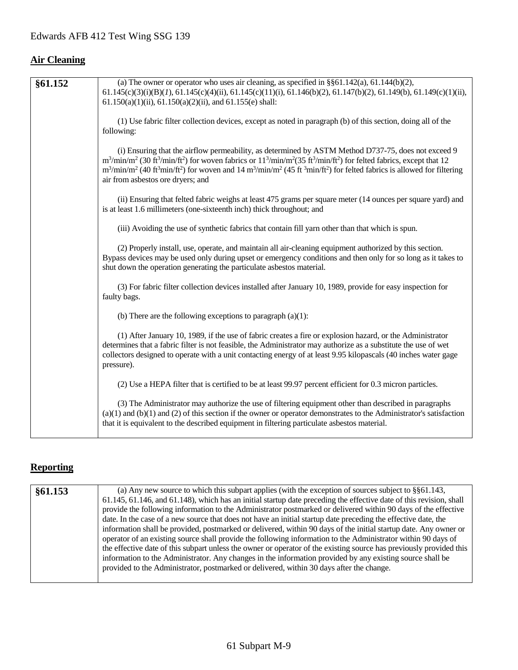# **Air Cleaning**

| §61.152 | (a) The owner or operator who uses air cleaning, as specified in $\S$ §61.142(a), 61.144(b)(2),                                                                                                                                                                                                                                                                                                                                                                                                                               |
|---------|-------------------------------------------------------------------------------------------------------------------------------------------------------------------------------------------------------------------------------------------------------------------------------------------------------------------------------------------------------------------------------------------------------------------------------------------------------------------------------------------------------------------------------|
|         | $61.145(c)(3)(i)(B)(I), 61.145(c)(4)(ii), 61.145(c)(11)(i), 61.146(b)(2), 61.147(b)(2), 61.149(b), 61.149(c)(1)(ii),$<br>$61.150(a)(1)(ii)$ , $61.150(a)(2)(ii)$ , and $61.155(e)$ shall:                                                                                                                                                                                                                                                                                                                                     |
|         | (1) Use fabric filter collection devices, except as noted in paragraph (b) of this section, doing all of the<br>following:                                                                                                                                                                                                                                                                                                                                                                                                    |
|         | (i) Ensuring that the airflow permeability, as determined by ASTM Method D737-75, does not exceed 9<br>$m^3/\min/m^2$ (30 ft <sup>3</sup> /min/ft <sup>2</sup> ) for woven fabrics or $11^3/\min/m^2$ (35 ft <sup>3</sup> /min/ft <sup>2</sup> ) for felted fabrics, except that 12<br>$m^3/min/m^2$ (40 ft <sup>3</sup> min/ft <sup>2</sup> ) for woven and 14 m <sup>3</sup> /min/m <sup>2</sup> (45 ft <sup>3</sup> min/ft <sup>2</sup> ) for felted fabrics is allowed for filtering<br>air from asbestos ore dryers; and |
|         | (ii) Ensuring that felted fabric weighs at least 475 grams per square meter (14 ounces per square yard) and<br>is at least 1.6 millimeters (one-sixteenth inch) thick throughout; and                                                                                                                                                                                                                                                                                                                                         |
|         | (iii) Avoiding the use of synthetic fabrics that contain fill yarn other than that which is spun.                                                                                                                                                                                                                                                                                                                                                                                                                             |
|         | (2) Properly install, use, operate, and maintain all air-cleaning equipment authorized by this section.<br>Bypass devices may be used only during upset or emergency conditions and then only for so long as it takes to<br>shut down the operation generating the particulate asbestos material.                                                                                                                                                                                                                             |
|         | (3) For fabric filter collection devices installed after January 10, 1989, provide for easy inspection for<br>faulty bags.                                                                                                                                                                                                                                                                                                                                                                                                    |
|         | (b) There are the following exceptions to paragraph $(a)(1)$ :                                                                                                                                                                                                                                                                                                                                                                                                                                                                |
|         | (1) After January 10, 1989, if the use of fabric creates a fire or explosion hazard, or the Administrator<br>determines that a fabric filter is not feasible, the Administrator may authorize as a substitute the use of wet<br>collectors designed to operate with a unit contacting energy of at least 9.95 kilopascals (40 inches water gage<br>pressure).                                                                                                                                                                 |
|         | (2) Use a HEPA filter that is certified to be at least 99.97 percent efficient for 0.3 micron particles.                                                                                                                                                                                                                                                                                                                                                                                                                      |
|         | (3) The Administrator may authorize the use of filtering equipment other than described in paragraphs<br>$(a)(1)$ and $(b)(1)$ and $(2)$ of this section if the owner or operator demonstrates to the Administrator's satisfaction<br>that it is equivalent to the described equipment in filtering particulate asbestos material.                                                                                                                                                                                            |

# **Reporting**

| §61.153 | (a) Any new source to which this subpart applies (with the exception of sources subject to $\S$ §61.143,            |
|---------|---------------------------------------------------------------------------------------------------------------------|
|         | 61.145, 61.146, and 61.148), which has an initial startup date preceding the effective date of this revision, shall |
|         | provide the following information to the Administrator postmarked or delivered within 90 days of the effective      |
|         | date. In the case of a new source that does not have an initial startup date preceding the effective date, the      |
|         | information shall be provided, postmarked or delivered, within 90 days of the initial startup date. Any owner or    |
|         | operator of an existing source shall provide the following information to the Administrator within 90 days of       |
|         | the effective date of this subpart unless the owner or operator of the existing source has previously provided this |
|         | information to the Administrator. Any changes in the information provided by any existing source shall be           |
|         | provided to the Administrator, postmarked or delivered, within 30 days after the change.                            |
|         |                                                                                                                     |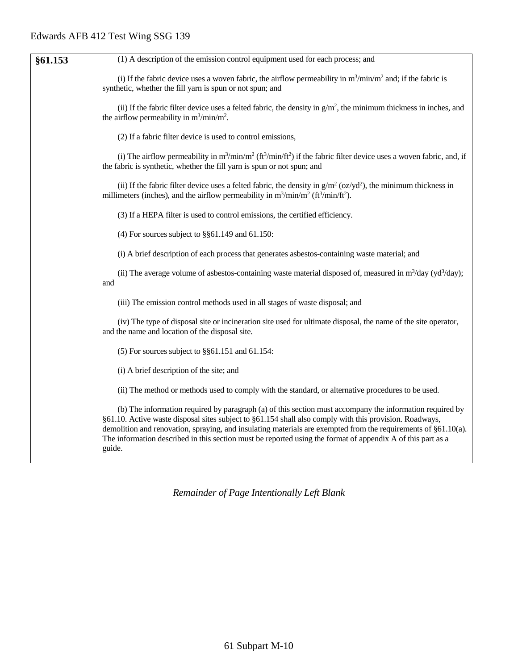| §61.153 | (1) A description of the emission control equipment used for each process; and                                                                                                                                                                                                                                                                                                                                                                                 |
|---------|----------------------------------------------------------------------------------------------------------------------------------------------------------------------------------------------------------------------------------------------------------------------------------------------------------------------------------------------------------------------------------------------------------------------------------------------------------------|
|         | (i) If the fabric device uses a woven fabric, the airflow permeability in $m^3/\text{min}/m^2$ and; if the fabric is<br>synthetic, whether the fill yarn is spun or not spun; and                                                                                                                                                                                                                                                                              |
|         | (ii) If the fabric filter device uses a felted fabric, the density in $g/m^2$ , the minimum thickness in inches, and<br>the airflow permeability in $m^3/\text{min}/m^2$ .                                                                                                                                                                                                                                                                                     |
|         | (2) If a fabric filter device is used to control emissions,                                                                                                                                                                                                                                                                                                                                                                                                    |
|         | (i) The airflow permeability in $m^3/\text{min}/m^2$ ( $ft^3/\text{min}/ft^2$ ) if the fabric filter device uses a woven fabric, and, if<br>the fabric is synthetic, whether the fill yarn is spun or not spun; and                                                                                                                                                                                                                                            |
|         | (ii) If the fabric filter device uses a felted fabric, the density in $g/m^2$ (oz/yd <sup>2</sup> ), the minimum thickness in<br>millimeters (inches), and the airflow permeability in $m^3 / min/m^2$ (ft <sup>3</sup> /min/ft <sup>2</sup> ).                                                                                                                                                                                                                |
|         | (3) If a HEPA filter is used to control emissions, the certified efficiency.                                                                                                                                                                                                                                                                                                                                                                                   |
|         | (4) For sources subject to $\S$ §61.149 and 61.150:                                                                                                                                                                                                                                                                                                                                                                                                            |
|         | (i) A brief description of each process that generates asbestos-containing waste material; and                                                                                                                                                                                                                                                                                                                                                                 |
|         | (ii) The average volume of asbestos-containing waste material disposed of, measured in $m^3$ /day (yd <sup>3</sup> /day);<br>and                                                                                                                                                                                                                                                                                                                               |
|         | (iii) The emission control methods used in all stages of waste disposal; and                                                                                                                                                                                                                                                                                                                                                                                   |
|         | (iv) The type of disposal site or incineration site used for ultimate disposal, the name of the site operator,<br>and the name and location of the disposal site.                                                                                                                                                                                                                                                                                              |
|         | $(5)$ For sources subject to §§61.151 and 61.154:                                                                                                                                                                                                                                                                                                                                                                                                              |
|         | (i) A brief description of the site; and                                                                                                                                                                                                                                                                                                                                                                                                                       |
|         | (ii) The method or methods used to comply with the standard, or alternative procedures to be used.                                                                                                                                                                                                                                                                                                                                                             |
|         | (b) The information required by paragraph (a) of this section must accompany the information required by<br>§61.10. Active waste disposal sites subject to §61.154 shall also comply with this provision. Roadways,<br>demolition and renovation, spraying, and insulating materials are exempted from the requirements of §61.10(a).<br>The information described in this section must be reported using the format of appendix A of this part as a<br>guide. |
|         |                                                                                                                                                                                                                                                                                                                                                                                                                                                                |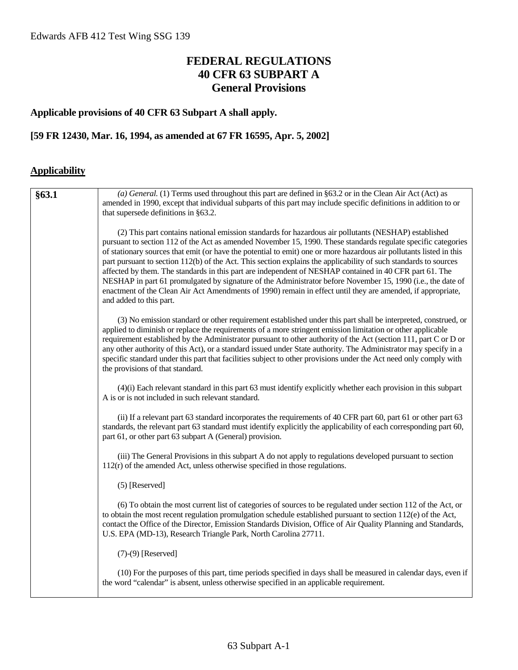# **FEDERAL REGULATIONS 40 CFR 63 SUBPART A General Provisions**

#### **Applicable provisions of 40 CFR 63 Subpart A shall apply.**

#### **[59 FR 12430, Mar. 16, 1994, as amended at 67 FR 16595, Apr. 5, 2002]**

#### **Applicability**

| §63.1 | (a) General. (1) Terms used throughout this part are defined in §63.2 or in the Clean Air Act (Act) as<br>amended in 1990, except that individual subparts of this part may include specific definitions in addition to or<br>that supersede definitions in §63.2.                                                                                                                                                                                                                                                                                                                                                                                                                                                                                                                                                                   |
|-------|--------------------------------------------------------------------------------------------------------------------------------------------------------------------------------------------------------------------------------------------------------------------------------------------------------------------------------------------------------------------------------------------------------------------------------------------------------------------------------------------------------------------------------------------------------------------------------------------------------------------------------------------------------------------------------------------------------------------------------------------------------------------------------------------------------------------------------------|
|       | (2) This part contains national emission standards for hazardous air pollutants (NESHAP) established<br>pursuant to section 112 of the Act as amended November 15, 1990. These standards regulate specific categories<br>of stationary sources that emit (or have the potential to emit) one or more hazardous air pollutants listed in this<br>part pursuant to section 112(b) of the Act. This section explains the applicability of such standards to sources<br>affected by them. The standards in this part are independent of NESHAP contained in 40 CFR part 61. The<br>NESHAP in part 61 promulgated by signature of the Administrator before November 15, 1990 (i.e., the date of<br>enactment of the Clean Air Act Amendments of 1990) remain in effect until they are amended, if appropriate,<br>and added to this part. |
|       | (3) No emission standard or other requirement established under this part shall be interpreted, construed, or<br>applied to diminish or replace the requirements of a more stringent emission limitation or other applicable<br>requirement established by the Administrator pursuant to other authority of the Act (section 111, part C or D or<br>any other authority of this Act), or a standard issued under State authority. The Administrator may specify in a<br>specific standard under this part that facilities subject to other provisions under the Act need only comply with<br>the provisions of that standard.                                                                                                                                                                                                        |
|       | (4)(i) Each relevant standard in this part 63 must identify explicitly whether each provision in this subpart<br>A is or is not included in such relevant standard.                                                                                                                                                                                                                                                                                                                                                                                                                                                                                                                                                                                                                                                                  |
|       | (ii) If a relevant part 63 standard incorporates the requirements of 40 CFR part 60, part 61 or other part 63<br>standards, the relevant part 63 standard must identify explicitly the applicability of each corresponding part 60,<br>part 61, or other part 63 subpart A (General) provision.                                                                                                                                                                                                                                                                                                                                                                                                                                                                                                                                      |
|       | (iii) The General Provisions in this subpart A do not apply to regulations developed pursuant to section<br>$112(r)$ of the amended Act, unless otherwise specified in those regulations.                                                                                                                                                                                                                                                                                                                                                                                                                                                                                                                                                                                                                                            |
|       | $(5)$ [Reserved]                                                                                                                                                                                                                                                                                                                                                                                                                                                                                                                                                                                                                                                                                                                                                                                                                     |
|       | (6) To obtain the most current list of categories of sources to be regulated under section 112 of the Act, or<br>to obtain the most recent regulation promulgation schedule established pursuant to section $112(e)$ of the Act,<br>contact the Office of the Director, Emission Standards Division, Office of Air Quality Planning and Standards,<br>U.S. EPA (MD-13), Research Triangle Park, North Carolina 27711.                                                                                                                                                                                                                                                                                                                                                                                                                |
|       | $(7)-(9)$ [Reserved]                                                                                                                                                                                                                                                                                                                                                                                                                                                                                                                                                                                                                                                                                                                                                                                                                 |
|       | (10) For the purposes of this part, time periods specified in days shall be measured in calendar days, even if<br>the word "calendar" is absent, unless otherwise specified in an applicable requirement.                                                                                                                                                                                                                                                                                                                                                                                                                                                                                                                                                                                                                            |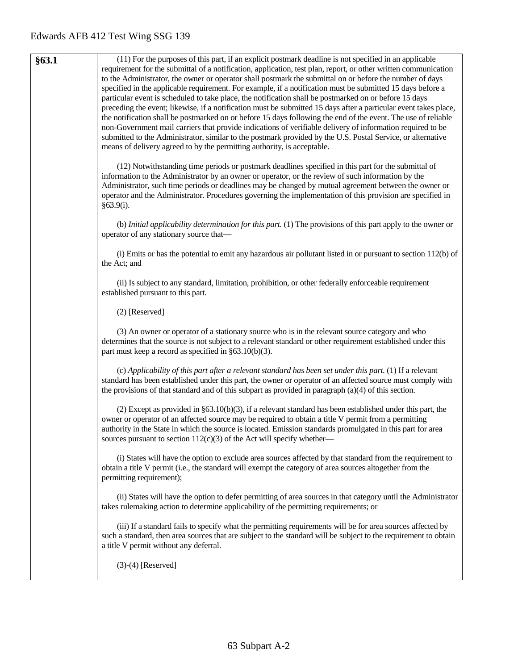| §63.1 | (11) For the purposes of this part, if an explicit postmark deadline is not specified in an applicable                                                                                                                |
|-------|-----------------------------------------------------------------------------------------------------------------------------------------------------------------------------------------------------------------------|
|       | requirement for the submittal of a notification, application, test plan, report, or other written communication                                                                                                       |
|       | to the Administrator, the owner or operator shall postmark the submittal on or before the number of days                                                                                                              |
|       | specified in the applicable requirement. For example, if a notification must be submitted 15 days before a                                                                                                            |
|       | particular event is scheduled to take place, the notification shall be postmarked on or before 15 days                                                                                                                |
|       | preceding the event; likewise, if a notification must be submitted 15 days after a particular event takes place,                                                                                                      |
|       | the notification shall be postmarked on or before 15 days following the end of the event. The use of reliable                                                                                                         |
|       | non-Government mail carriers that provide indications of verifiable delivery of information required to be                                                                                                            |
|       | submitted to the Administrator, similar to the postmark provided by the U.S. Postal Service, or alternative                                                                                                           |
|       | means of delivery agreed to by the permitting authority, is acceptable.                                                                                                                                               |
|       |                                                                                                                                                                                                                       |
|       | (12) Notwithstanding time periods or postmark deadlines specified in this part for the submittal of                                                                                                                   |
|       | information to the Administrator by an owner or operator, or the review of such information by the<br>Administrator, such time periods or deadlines may be changed by mutual agreement between the owner or           |
|       | operator and the Administrator. Procedures governing the implementation of this provision are specified in                                                                                                            |
|       | §63.9(i).                                                                                                                                                                                                             |
|       |                                                                                                                                                                                                                       |
|       | (b) Initial applicability determination for this part. (1) The provisions of this part apply to the owner or                                                                                                          |
|       | operator of any stationary source that-                                                                                                                                                                               |
|       |                                                                                                                                                                                                                       |
|       | (i) Emits or has the potential to emit any hazardous air pollutant listed in or pursuant to section $112(b)$ of<br>the Act; and                                                                                       |
|       |                                                                                                                                                                                                                       |
|       | (ii) Is subject to any standard, limitation, prohibition, or other federally enforceable requirement                                                                                                                  |
|       | established pursuant to this part.                                                                                                                                                                                    |
|       |                                                                                                                                                                                                                       |
|       | (2) [Reserved]                                                                                                                                                                                                        |
|       | (3) An owner or operator of a stationary source who is in the relevant source category and who                                                                                                                        |
|       | determines that the source is not subject to a relevant standard or other requirement established under this                                                                                                          |
|       | part must keep a record as specified in $\S 63.10(b)(3)$ .                                                                                                                                                            |
|       |                                                                                                                                                                                                                       |
|       | (c) Applicability of this part after a relevant standard has been set under this part. (1) If a relevant                                                                                                              |
|       | standard has been established under this part, the owner or operator of an affected source must comply with                                                                                                           |
|       | the provisions of that standard and of this subpart as provided in paragraph (a)(4) of this section.                                                                                                                  |
|       |                                                                                                                                                                                                                       |
|       | (2) Except as provided in $\S 63.10(b)(3)$ , if a relevant standard has been established under this part, the<br>owner or operator of an affected source may be required to obtain a title V permit from a permitting |
|       | authority in the State in which the source is located. Emission standards promulgated in this part for area                                                                                                           |
|       | sources pursuant to section 112(c)(3) of the Act will specify whether—                                                                                                                                                |
|       |                                                                                                                                                                                                                       |
|       | (i) States will have the option to exclude area sources affected by that standard from the requirement to                                                                                                             |
|       | obtain a title V permit (i.e., the standard will exempt the category of area sources altogether from the                                                                                                              |
|       | permitting requirement);                                                                                                                                                                                              |
|       | (ii) States will have the option to defer permitting of area sources in that category until the Administrator                                                                                                         |
|       | takes rulemaking action to determine applicability of the permitting requirements; or                                                                                                                                 |
|       |                                                                                                                                                                                                                       |
|       | (iii) If a standard fails to specify what the permitting requirements will be for area sources affected by                                                                                                            |
|       | such a standard, then area sources that are subject to the standard will be subject to the requirement to obtain                                                                                                      |
|       | a title V permit without any deferral.                                                                                                                                                                                |
|       |                                                                                                                                                                                                                       |
|       | $(3)-(4)$ [Reserved]                                                                                                                                                                                                  |
|       |                                                                                                                                                                                                                       |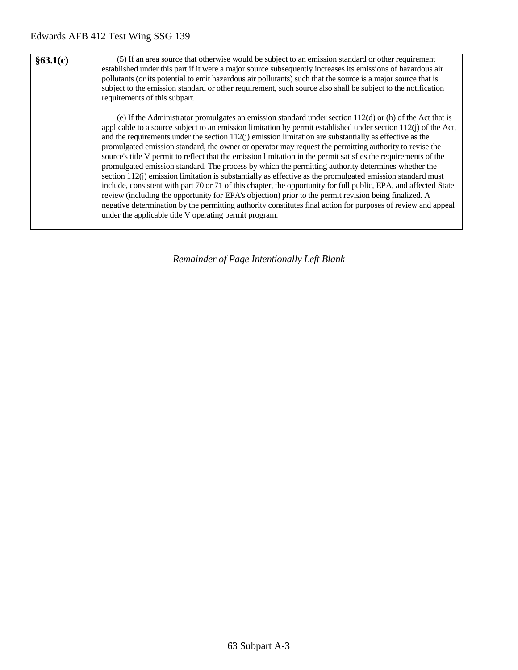| §63.1(c) | (5) If an area source that otherwise would be subject to an emission standard or other requirement<br>established under this part if it were a major source subsequently increases its emissions of hazardous air<br>pollutants (or its potential to emit hazardous air pollutants) such that the source is a major source that is<br>subject to the emission standard or other requirement, such source also shall be subject to the notification<br>requirements of this subpart.                                                                                                                                                                                                                                                                                                                                                                                                                                                                                                                                                                                                                                                                                                                        |
|----------|------------------------------------------------------------------------------------------------------------------------------------------------------------------------------------------------------------------------------------------------------------------------------------------------------------------------------------------------------------------------------------------------------------------------------------------------------------------------------------------------------------------------------------------------------------------------------------------------------------------------------------------------------------------------------------------------------------------------------------------------------------------------------------------------------------------------------------------------------------------------------------------------------------------------------------------------------------------------------------------------------------------------------------------------------------------------------------------------------------------------------------------------------------------------------------------------------------|
|          | (e) If the Administrator promulgates an emission standard under section $112(d)$ or (h) of the Act that is<br>applicable to a source subject to an emission limitation by permit established under section $112(i)$ of the Act,<br>and the requirements under the section $112(i)$ emission limitation are substantially as effective as the<br>promulgated emission standard, the owner or operator may request the permitting authority to revise the<br>source's title V permit to reflect that the emission limitation in the permit satisfies the requirements of the<br>promulgated emission standard. The process by which the permitting authority determines whether the<br>section $112(i)$ emission limitation is substantially as effective as the promulgated emission standard must<br>include, consistent with part 70 or 71 of this chapter, the opportunity for full public, EPA, and affected State<br>review (including the opportunity for EPA's objection) prior to the permit revision being finalized. A<br>negative determination by the permitting authority constitutes final action for purposes of review and appeal<br>under the applicable title V operating permit program. |